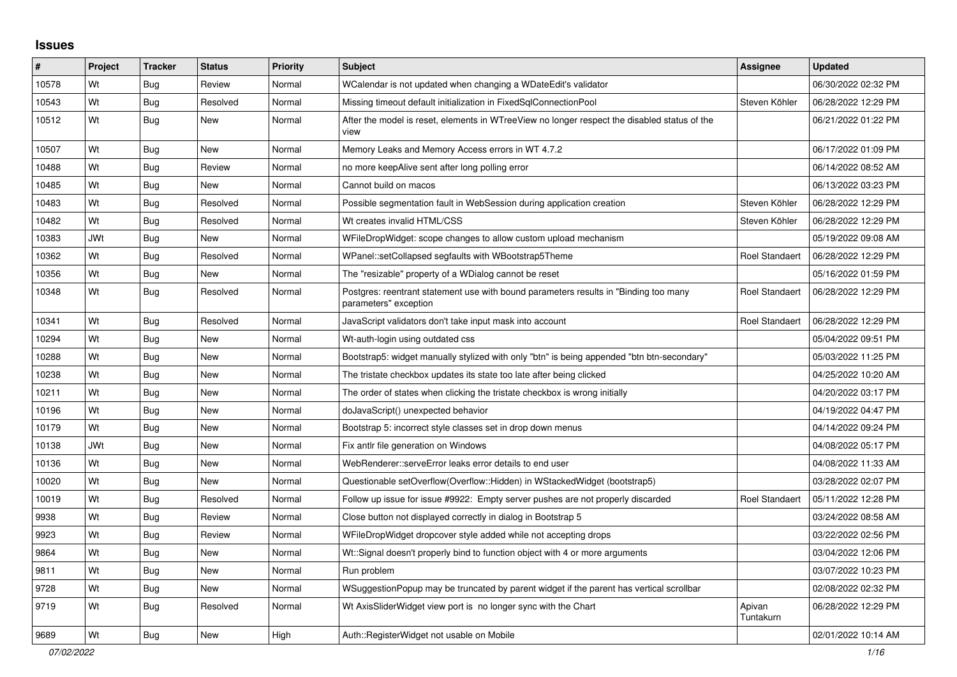## **Issues**

| ∣#    | Project    | <b>Tracker</b> | <b>Status</b> | <b>Priority</b> | <b>Subject</b>                                                                                                 | Assignee              | <b>Updated</b>      |
|-------|------------|----------------|---------------|-----------------|----------------------------------------------------------------------------------------------------------------|-----------------------|---------------------|
| 10578 | Wt         | Bug            | Review        | Normal          | WCalendar is not updated when changing a WDateEdit's validator                                                 |                       | 06/30/2022 02:32 PM |
| 10543 | Wt         | Bug            | Resolved      | Normal          | Missing timeout default initialization in FixedSqlConnectionPool                                               | Steven Köhler         | 06/28/2022 12:29 PM |
| 10512 | Wt         | Bug            | New           | Normal          | After the model is reset, elements in WTreeView no longer respect the disabled status of the<br>view           |                       | 06/21/2022 01:22 PM |
| 10507 | Wt         | <b>Bug</b>     | <b>New</b>    | Normal          | Memory Leaks and Memory Access errors in WT 4.7.2                                                              |                       | 06/17/2022 01:09 PM |
| 10488 | Wt         | Bug            | Review        | Normal          | no more keepAlive sent after long polling error                                                                |                       | 06/14/2022 08:52 AM |
| 10485 | Wt         | Bug            | New           | Normal          | Cannot build on macos                                                                                          |                       | 06/13/2022 03:23 PM |
| 10483 | Wt         | <b>Bug</b>     | Resolved      | Normal          | Possible segmentation fault in WebSession during application creation                                          | Steven Köhler         | 06/28/2022 12:29 PM |
| 10482 | Wt         | Bug            | Resolved      | Normal          | Wt creates invalid HTML/CSS                                                                                    | Steven Köhler         | 06/28/2022 12:29 PM |
| 10383 | <b>JWt</b> | Bug            | <b>New</b>    | Normal          | WFileDropWidget: scope changes to allow custom upload mechanism                                                |                       | 05/19/2022 09:08 AM |
| 10362 | Wt         | Bug            | Resolved      | Normal          | WPanel::setCollapsed segfaults with WBootstrap5Theme                                                           | <b>Roel Standaert</b> | 06/28/2022 12:29 PM |
| 10356 | Wt         | <b>Bug</b>     | <b>New</b>    | Normal          | The "resizable" property of a WDialog cannot be reset                                                          |                       | 05/16/2022 01:59 PM |
| 10348 | Wt         | Bug            | Resolved      | Normal          | Postgres: reentrant statement use with bound parameters results in "Binding too many"<br>parameters" exception | <b>Roel Standaert</b> | 06/28/2022 12:29 PM |
| 10341 | Wt         | Bug            | Resolved      | Normal          | JavaScript validators don't take input mask into account                                                       | <b>Roel Standaert</b> | 06/28/2022 12:29 PM |
| 10294 | Wt         | <b>Bug</b>     | <b>New</b>    | Normal          | Wt-auth-login using outdated css                                                                               |                       | 05/04/2022 09:51 PM |
| 10288 | Wt         | <b>Bug</b>     | New           | Normal          | Bootstrap5: widget manually stylized with only "btn" is being appended "btn btn-secondary"                     |                       | 05/03/2022 11:25 PM |
| 10238 | Wt         | Bug            | <b>New</b>    | Normal          | The tristate checkbox updates its state too late after being clicked                                           |                       | 04/25/2022 10:20 AM |
| 10211 | Wt         | Bug            | <b>New</b>    | Normal          | The order of states when clicking the tristate checkbox is wrong initially                                     |                       | 04/20/2022 03:17 PM |
| 10196 | Wt         | Bug            | <b>New</b>    | Normal          | doJavaScript() unexpected behavior                                                                             |                       | 04/19/2022 04:47 PM |
| 10179 | Wt         | Bug            | <b>New</b>    | Normal          | Bootstrap 5: incorrect style classes set in drop down menus                                                    |                       | 04/14/2022 09:24 PM |
| 10138 | <b>JWt</b> | <b>Bug</b>     | <b>New</b>    | Normal          | Fix antlr file generation on Windows                                                                           |                       | 04/08/2022 05:17 PM |
| 10136 | Wt         | Bug            | <b>New</b>    | Normal          | WebRenderer::serveError leaks error details to end user                                                        |                       | 04/08/2022 11:33 AM |
| 10020 | Wt         | Bug            | <b>New</b>    | Normal          | Questionable setOverflow(Overflow::Hidden) in WStackedWidget (bootstrap5)                                      |                       | 03/28/2022 02:07 PM |
| 10019 | Wt         | <b>Bug</b>     | Resolved      | Normal          | Follow up issue for issue #9922: Empty server pushes are not properly discarded                                | <b>Roel Standaert</b> | 05/11/2022 12:28 PM |
| 9938  | Wt         | <b>Bug</b>     | Review        | Normal          | Close button not displayed correctly in dialog in Bootstrap 5                                                  |                       | 03/24/2022 08:58 AM |
| 9923  | Wt         | Bug            | Review        | Normal          | WFileDropWidget dropcover style added while not accepting drops                                                |                       | 03/22/2022 02:56 PM |
| 9864  | Wt         | Bug            | <b>New</b>    | Normal          | Wt::Signal doesn't properly bind to function object with 4 or more arguments                                   |                       | 03/04/2022 12:06 PM |
| 9811  | Wt         | Bug            | New           | Normal          | Run problem                                                                                                    |                       | 03/07/2022 10:23 PM |
| 9728  | Wt         | Bug            | <b>New</b>    | Normal          | WSuggestionPopup may be truncated by parent widget if the parent has vertical scrollbar                        |                       | 02/08/2022 02:32 PM |
| 9719  | Wt         | <b>Bug</b>     | Resolved      | Normal          | Wt AxisSliderWidget view port is no longer sync with the Chart                                                 | Apivan<br>Tuntakurn   | 06/28/2022 12:29 PM |
| 9689  | Wt         | Bug            | <b>New</b>    | High            | Auth::RegisterWidget not usable on Mobile                                                                      |                       | 02/01/2022 10:14 AM |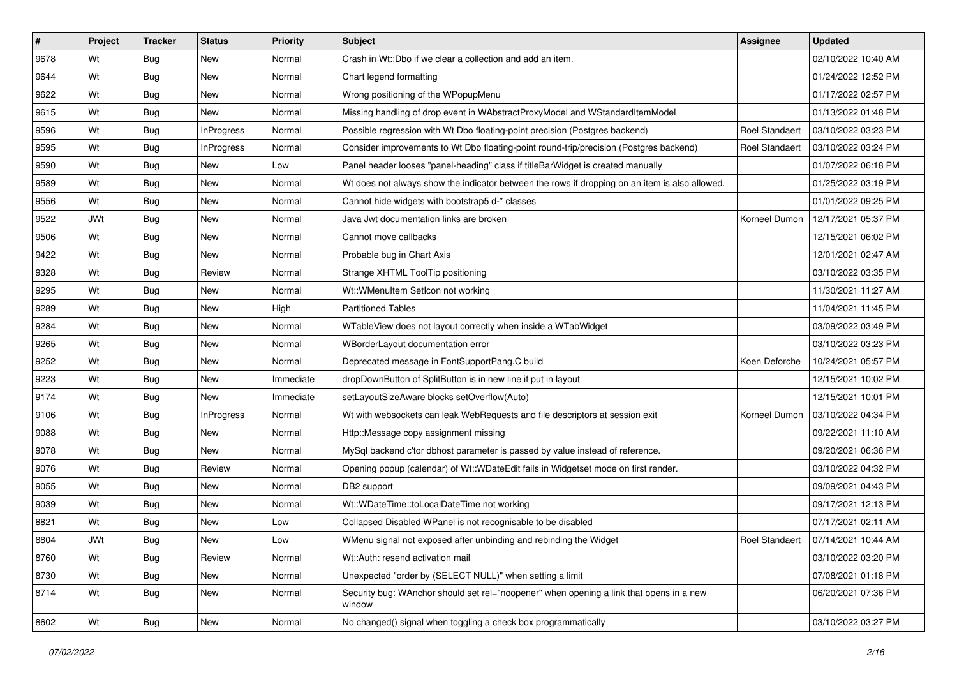| #    | Project    | <b>Tracker</b> | <b>Status</b>     | <b>Priority</b> | <b>Subject</b>                                                                                    | Assignee              | <b>Updated</b>      |
|------|------------|----------------|-------------------|-----------------|---------------------------------------------------------------------------------------------------|-----------------------|---------------------|
| 9678 | Wt         | <b>Bug</b>     | New               | Normal          | Crash in Wt::Dbo if we clear a collection and add an item.                                        |                       | 02/10/2022 10:40 AM |
| 9644 | Wt         | <b>Bug</b>     | New               | Normal          | Chart legend formatting                                                                           |                       | 01/24/2022 12:52 PM |
| 9622 | Wt         | <b>Bug</b>     | New               | Normal          | Wrong positioning of the WPopupMenu                                                               |                       | 01/17/2022 02:57 PM |
| 9615 | Wt         | <b>Bug</b>     | <b>New</b>        | Normal          | Missing handling of drop event in WAbstractProxyModel and WStandardItemModel                      |                       | 01/13/2022 01:48 PM |
| 9596 | Wt         | Bug            | InProgress        | Normal          | Possible regression with Wt Dbo floating-point precision (Postgres backend)                       | Roel Standaert        | 03/10/2022 03:23 PM |
| 9595 | Wt         | <b>Bug</b>     | <b>InProgress</b> | Normal          | Consider improvements to Wt Dbo floating-point round-trip/precision (Postgres backend)            | <b>Roel Standaert</b> | 03/10/2022 03:24 PM |
| 9590 | Wt         | Bug            | New               | Low             | Panel header looses "panel-heading" class if titleBarWidget is created manually                   |                       | 01/07/2022 06:18 PM |
| 9589 | Wt         | Bug            | New               | Normal          | Wt does not always show the indicator between the rows if dropping on an item is also allowed.    |                       | 01/25/2022 03:19 PM |
| 9556 | Wt         | <b>Bug</b>     | New               | Normal          | Cannot hide widgets with bootstrap5 d-* classes                                                   |                       | 01/01/2022 09:25 PM |
| 9522 | <b>JWt</b> | Bug            | New               | Normal          | Java Jwt documentation links are broken                                                           | Korneel Dumon         | 12/17/2021 05:37 PM |
| 9506 | Wt         | <b>Bug</b>     | New               | Normal          | Cannot move callbacks                                                                             |                       | 12/15/2021 06:02 PM |
| 9422 | Wt         | <b>Bug</b>     | New               | Normal          | Probable bug in Chart Axis                                                                        |                       | 12/01/2021 02:47 AM |
| 9328 | Wt         | Bug            | Review            | Normal          | Strange XHTML ToolTip positioning                                                                 |                       | 03/10/2022 03:35 PM |
| 9295 | Wt         | Bug            | New               | Normal          | Wt::WMenuItem SetIcon not working                                                                 |                       | 11/30/2021 11:27 AM |
| 9289 | Wt         | Bug            | New               | High            | <b>Partitioned Tables</b>                                                                         |                       | 11/04/2021 11:45 PM |
| 9284 | Wt         | Bug            | New               | Normal          | WTableView does not layout correctly when inside a WTabWidget                                     |                       | 03/09/2022 03:49 PM |
| 9265 | Wt         | <b>Bug</b>     | <b>New</b>        | Normal          | WBorderLayout documentation error                                                                 |                       | 03/10/2022 03:23 PM |
| 9252 | Wt         | Bug            | New               | Normal          | Deprecated message in FontSupportPang.C build                                                     | Koen Deforche         | 10/24/2021 05:57 PM |
| 9223 | Wt         | Bug            | New               | Immediate       | dropDownButton of SplitButton is in new line if put in layout                                     |                       | 12/15/2021 10:02 PM |
| 9174 | Wt         | <b>Bug</b>     | New               | Immediate       | setLayoutSizeAware blocks setOverflow(Auto)                                                       |                       | 12/15/2021 10:01 PM |
| 9106 | Wt         | <b>Bug</b>     | <b>InProgress</b> | Normal          | Wt with websockets can leak WebRequests and file descriptors at session exit                      | Korneel Dumon         | 03/10/2022 04:34 PM |
| 9088 | Wt         | <b>Bug</b>     | New               | Normal          | Http::Message copy assignment missing                                                             |                       | 09/22/2021 11:10 AM |
| 9078 | Wt         | Bug            | New               | Normal          | MySql backend c'tor dbhost parameter is passed by value instead of reference.                     |                       | 09/20/2021 06:36 PM |
| 9076 | Wt         | <b>Bug</b>     | Review            | Normal          | Opening popup (calendar) of Wt::WDateEdit fails in Widgetset mode on first render.                |                       | 03/10/2022 04:32 PM |
| 9055 | Wt         | <b>Bug</b>     | New               | Normal          | DB2 support                                                                                       |                       | 09/09/2021 04:43 PM |
| 9039 | Wt         | Bug            | New               | Normal          | Wt::WDateTime::toLocalDateTime not working                                                        |                       | 09/17/2021 12:13 PM |
| 8821 | Wt         | Bug            | New               | Low             | Collapsed Disabled WPanel is not recognisable to be disabled                                      |                       | 07/17/2021 02:11 AM |
| 8804 | <b>JWt</b> | <b>Bug</b>     | New               | Low             | WMenu signal not exposed after unbinding and rebinding the Widget                                 | Roel Standaert        | 07/14/2021 10:44 AM |
| 8760 | Wt         | Bug            | Review            | Normal          | Wt::Auth: resend activation mail                                                                  |                       | 03/10/2022 03:20 PM |
| 8730 | Wt         | <b>Bug</b>     | New               | Normal          | Unexpected "order by (SELECT NULL)" when setting a limit                                          |                       | 07/08/2021 01:18 PM |
| 8714 | Wt         | <b>Bug</b>     | New               | Normal          | Security bug: WAnchor should set rel="noopener" when opening a link that opens in a new<br>window |                       | 06/20/2021 07:36 PM |
| 8602 | Wt         | Bug            | New               | Normal          | No changed() signal when toggling a check box programmatically                                    |                       | 03/10/2022 03:27 PM |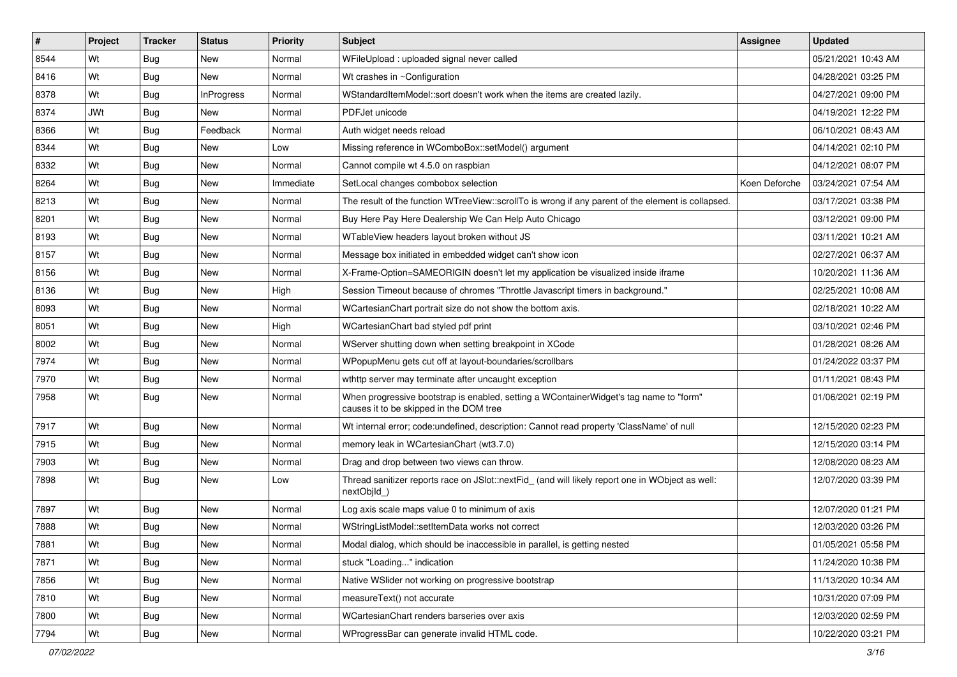| #    | Project    | <b>Tracker</b> | <b>Status</b> | <b>Priority</b> | Subject                                                                                                                           | <b>Assignee</b> | <b>Updated</b>      |
|------|------------|----------------|---------------|-----------------|-----------------------------------------------------------------------------------------------------------------------------------|-----------------|---------------------|
| 8544 | Wt         | Bug            | New           | Normal          | WFileUpload: uploaded signal never called                                                                                         |                 | 05/21/2021 10:43 AM |
| 8416 | Wt         | Bug            | <b>New</b>    | Normal          | Wt crashes in ~Configuration                                                                                                      |                 | 04/28/2021 03:25 PM |
| 8378 | Wt         | Bug            | InProgress    | Normal          | WStandardItemModel::sort doesn't work when the items are created lazily.                                                          |                 | 04/27/2021 09:00 PM |
| 8374 | <b>JWt</b> | Bug            | <b>New</b>    | Normal          | PDFJet unicode                                                                                                                    |                 | 04/19/2021 12:22 PM |
| 8366 | Wt         | Bug            | Feedback      | Normal          | Auth widget needs reload                                                                                                          |                 | 06/10/2021 08:43 AM |
| 8344 | Wt         | Bug            | <b>New</b>    | Low             | Missing reference in WComboBox::setModel() argument                                                                               |                 | 04/14/2021 02:10 PM |
| 8332 | Wt         | Bug            | New           | Normal          | Cannot compile wt 4.5.0 on raspbian                                                                                               |                 | 04/12/2021 08:07 PM |
| 8264 | Wt         | Bug            | New           | Immediate       | SetLocal changes combobox selection                                                                                               | Koen Deforche   | 03/24/2021 07:54 AM |
| 8213 | Wt         | Bug            | New           | Normal          | The result of the function WTreeView::scrollTo is wrong if any parent of the element is collapsed.                                |                 | 03/17/2021 03:38 PM |
| 8201 | Wt         | Bug            | New           | Normal          | Buy Here Pay Here Dealership We Can Help Auto Chicago                                                                             |                 | 03/12/2021 09:00 PM |
| 8193 | Wt         | Bug            | New           | Normal          | WTableView headers layout broken without JS                                                                                       |                 | 03/11/2021 10:21 AM |
| 8157 | Wt         | Bug            | New           | Normal          | Message box initiated in embedded widget can't show icon                                                                          |                 | 02/27/2021 06:37 AM |
| 8156 | Wt         | Bug            | <b>New</b>    | Normal          | X-Frame-Option=SAMEORIGIN doesn't let my application be visualized inside iframe                                                  |                 | 10/20/2021 11:36 AM |
| 8136 | Wt         | Bug            | New           | High            | Session Timeout because of chromes "Throttle Javascript timers in background."                                                    |                 | 02/25/2021 10:08 AM |
| 8093 | Wt         | <b>Bug</b>     | <b>New</b>    | Normal          | WCartesianChart portrait size do not show the bottom axis.                                                                        |                 | 02/18/2021 10:22 AM |
| 8051 | Wt         | Bug            | New           | High            | WCartesianChart bad styled pdf print                                                                                              |                 | 03/10/2021 02:46 PM |
| 8002 | Wt         | Bug            | <b>New</b>    | Normal          | WServer shutting down when setting breakpoint in XCode                                                                            |                 | 01/28/2021 08:26 AM |
| 7974 | Wt         | Bug            | <b>New</b>    | Normal          | WPopupMenu gets cut off at layout-boundaries/scrollbars                                                                           |                 | 01/24/2022 03:37 PM |
| 7970 | Wt         | <b>Bug</b>     | New           | Normal          | wthttp server may terminate after uncaught exception                                                                              |                 | 01/11/2021 08:43 PM |
| 7958 | Wt         | Bug            | New           | Normal          | When progressive bootstrap is enabled, setting a WContainerWidget's tag name to "form"<br>causes it to be skipped in the DOM tree |                 | 01/06/2021 02:19 PM |
| 7917 | Wt         | Bug            | New           | Normal          | Wt internal error; code: undefined, description: Cannot read property 'ClassName' of null                                         |                 | 12/15/2020 02:23 PM |
| 7915 | Wt         | Bug            | New           | Normal          | memory leak in WCartesianChart (wt3.7.0)                                                                                          |                 | 12/15/2020 03:14 PM |
| 7903 | Wt         | Bug            | New           | Normal          | Drag and drop between two views can throw.                                                                                        |                 | 12/08/2020 08:23 AM |
| 7898 | Wt         | Bug            | New           | Low             | Thread sanitizer reports race on JSlot::nextFid_ (and will likely report one in WObject as well:<br>nextObjId_)                   |                 | 12/07/2020 03:39 PM |
| 7897 | Wt         | Bug            | New           | Normal          | Log axis scale maps value 0 to minimum of axis                                                                                    |                 | 12/07/2020 01:21 PM |
| 7888 | Wt         | <b>Bug</b>     | <b>New</b>    | Normal          | WStringListModel::setItemData works not correct                                                                                   |                 | 12/03/2020 03:26 PM |
| 7881 | Wt         | Bug            | New           | Normal          | Modal dialog, which should be inaccessible in parallel, is getting nested                                                         |                 | 01/05/2021 05:58 PM |
| 7871 | Wt         | Bug            | New           | Normal          | stuck "Loading" indication                                                                                                        |                 | 11/24/2020 10:38 PM |
| 7856 | Wt         | <b>Bug</b>     | New           | Normal          | Native WSlider not working on progressive bootstrap                                                                               |                 | 11/13/2020 10:34 AM |
| 7810 | Wt         | Bug            | New           | Normal          | measureText() not accurate                                                                                                        |                 | 10/31/2020 07:09 PM |
| 7800 | Wt         | <b>Bug</b>     | New           | Normal          | WCartesianChart renders barseries over axis                                                                                       |                 | 12/03/2020 02:59 PM |
| 7794 | Wt         | <b>Bug</b>     | New           | Normal          | WProgressBar can generate invalid HTML code.                                                                                      |                 | 10/22/2020 03:21 PM |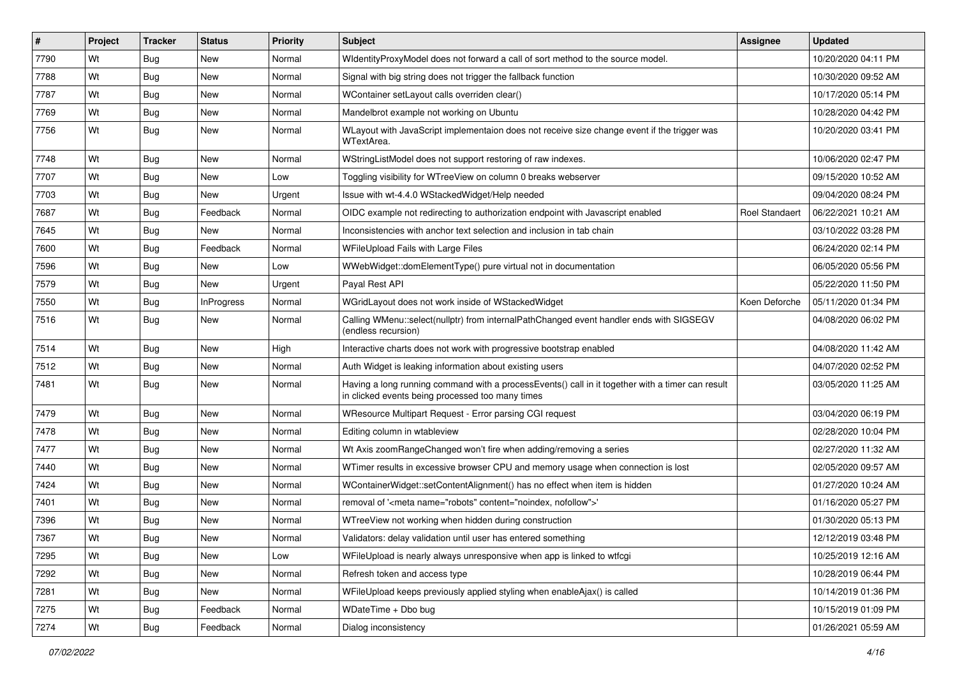| $\vert$ # | Project | <b>Tracker</b> | <b>Status</b>     | <b>Priority</b> | <b>Subject</b>                                                                                                                                       | Assignee              | <b>Updated</b>      |
|-----------|---------|----------------|-------------------|-----------------|------------------------------------------------------------------------------------------------------------------------------------------------------|-----------------------|---------------------|
| 7790      | Wt      | <b>Bug</b>     | New               | Normal          | WidentityProxyModel does not forward a call of sort method to the source model.                                                                      |                       | 10/20/2020 04:11 PM |
| 7788      | Wt      | <b>Bug</b>     | New               | Normal          | Signal with big string does not trigger the fallback function                                                                                        |                       | 10/30/2020 09:52 AM |
| 7787      | Wt      | <b>Bug</b>     | New               | Normal          | WContainer setLayout calls overriden clear()                                                                                                         |                       | 10/17/2020 05:14 PM |
| 7769      | Wt      | <b>Bug</b>     | New               | Normal          | Mandelbrot example not working on Ubuntu                                                                                                             |                       | 10/28/2020 04:42 PM |
| 7756      | Wt      | Bug            | New               | Normal          | WLayout with JavaScript implementaion does not receive size change event if the trigger was<br>WTextArea.                                            |                       | 10/20/2020 03:41 PM |
| 7748      | Wt      | Bug            | New               | Normal          | WStringListModel does not support restoring of raw indexes.                                                                                          |                       | 10/06/2020 02:47 PM |
| 7707      | Wt      | Bug            | <b>New</b>        | Low             | Toggling visibility for WTreeView on column 0 breaks webserver                                                                                       |                       | 09/15/2020 10:52 AM |
| 7703      | Wt      | Bug            | New               | Urgent          | Issue with wt-4.4.0 WStackedWidget/Help needed                                                                                                       |                       | 09/04/2020 08:24 PM |
| 7687      | Wt      | <b>Bug</b>     | Feedback          | Normal          | OIDC example not redirecting to authorization endpoint with Javascript enabled                                                                       | <b>Roel Standaert</b> | 06/22/2021 10:21 AM |
| 7645      | Wt      | <b>Bug</b>     | New               | Normal          | Inconsistencies with anchor text selection and inclusion in tab chain                                                                                |                       | 03/10/2022 03:28 PM |
| 7600      | Wt      | <b>Bug</b>     | Feedback          | Normal          | WFileUpload Fails with Large Files                                                                                                                   |                       | 06/24/2020 02:14 PM |
| 7596      | Wt      | Bug            | <b>New</b>        | Low             | WWebWidget::domElementType() pure virtual not in documentation                                                                                       |                       | 06/05/2020 05:56 PM |
| 7579      | Wt      | <b>Bug</b>     | New               | Urgent          | Payal Rest API                                                                                                                                       |                       | 05/22/2020 11:50 PM |
| 7550      | Wt      | <b>Bug</b>     | <b>InProgress</b> | Normal          | WGridLayout does not work inside of WStackedWidget                                                                                                   | Koen Deforche         | 05/11/2020 01:34 PM |
| 7516      | Wt      | Bug            | New               | Normal          | Calling WMenu::select(nullptr) from internalPathChanged event handler ends with SIGSEGV<br>(endless recursion)                                       |                       | 04/08/2020 06:02 PM |
| 7514      | Wt      | Bug            | New               | High            | Interactive charts does not work with progressive bootstrap enabled                                                                                  |                       | 04/08/2020 11:42 AM |
| 7512      | Wt      | <b>Bug</b>     | New               | Normal          | Auth Widget is leaking information about existing users                                                                                              |                       | 04/07/2020 02:52 PM |
| 7481      | Wt      | <b>Bug</b>     | New               | Normal          | Having a long running command with a processEvents() call in it together with a timer can result<br>in clicked events being processed too many times |                       | 03/05/2020 11:25 AM |
| 7479      | Wt      | Bug            | New               | Normal          | WResource Multipart Request - Error parsing CGI request                                                                                              |                       | 03/04/2020 06:19 PM |
| 7478      | Wt      | <b>Bug</b>     | New               | Normal          | Editing column in wtableview                                                                                                                         |                       | 02/28/2020 10:04 PM |
| 7477      | Wt      | Bug            | New               | Normal          | Wt Axis zoomRangeChanged won't fire when adding/removing a series                                                                                    |                       | 02/27/2020 11:32 AM |
| 7440      | Wt      | Bug            | New               | Normal          | WTimer results in excessive browser CPU and memory usage when connection is lost                                                                     |                       | 02/05/2020 09:57 AM |
| 7424      | Wt      | Bug            | New               | Normal          | WContainerWidget::setContentAlignment() has no effect when item is hidden                                                                            |                       | 01/27/2020 10:24 AM |
| 7401      | Wt      | <b>Bug</b>     | New               | Normal          | removal of ' <meta content="noindex, nofollow" name="robots"/> '                                                                                     |                       | 01/16/2020 05:27 PM |
| 7396      | Wt      | <b>Bug</b>     | New               | Normal          | WTreeView not working when hidden during construction                                                                                                |                       | 01/30/2020 05:13 PM |
| 7367      | Wt      | Bug            | New               | Normal          | Validators: delay validation until user has entered something                                                                                        |                       | 12/12/2019 03:48 PM |
| 7295      | Wt      | Bug            | New               | Low             | WFileUpload is nearly always unresponsive when app is linked to wtfcgi                                                                               |                       | 10/25/2019 12:16 AM |
| 7292      | Wt      | <b>Bug</b>     | New               | Normal          | Refresh token and access type                                                                                                                        |                       | 10/28/2019 06:44 PM |
| 7281      | Wt      | <b>Bug</b>     | New               | Normal          | WFileUpload keeps previously applied styling when enableAjax() is called                                                                             |                       | 10/14/2019 01:36 PM |
| 7275      | Wt      | <b>Bug</b>     | Feedback          | Normal          | WDateTime + Dbo bug                                                                                                                                  |                       | 10/15/2019 01:09 PM |
| 7274      | Wt      | Bug            | Feedback          | Normal          | Dialog inconsistency                                                                                                                                 |                       | 01/26/2021 05:59 AM |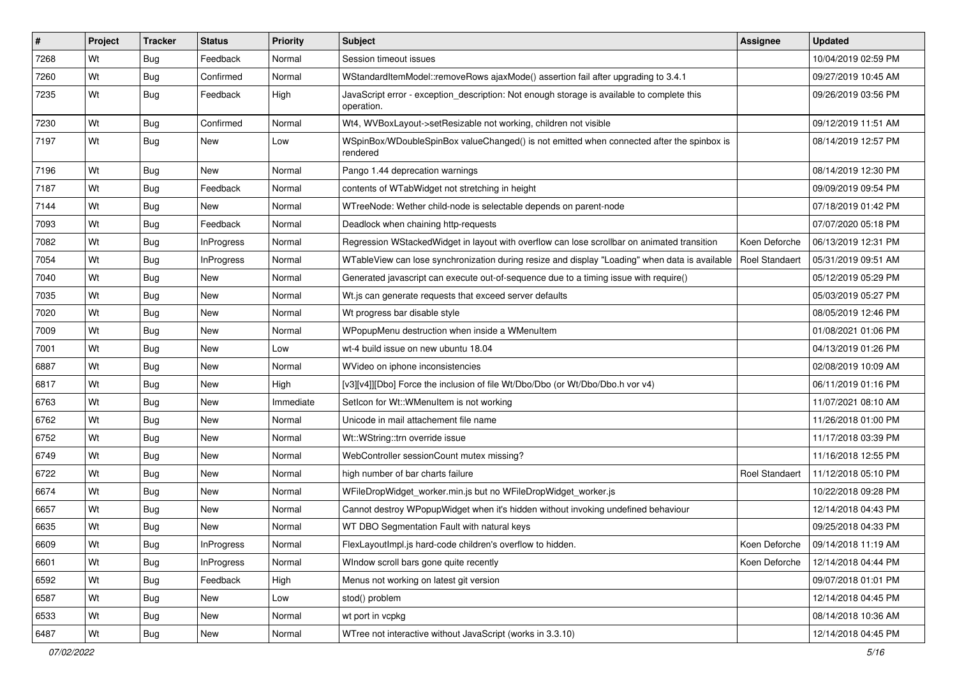| $\vert$ # | Project | <b>Tracker</b> | <b>Status</b>     | <b>Priority</b> | Subject                                                                                                  | <b>Assignee</b>       | <b>Updated</b>      |
|-----------|---------|----------------|-------------------|-----------------|----------------------------------------------------------------------------------------------------------|-----------------------|---------------------|
| 7268      | Wt      | Bug            | Feedback          | Normal          | Session timeout issues                                                                                   |                       | 10/04/2019 02:59 PM |
| 7260      | Wt      | Bug            | Confirmed         | Normal          | WStandardItemModel::removeRows ajaxMode() assertion fail after upgrading to 3.4.1                        |                       | 09/27/2019 10:45 AM |
| 7235      | Wt      | Bug            | Feedback          | High            | JavaScript error - exception_description: Not enough storage is available to complete this<br>operation. |                       | 09/26/2019 03:56 PM |
| 7230      | Wt      | Bug            | Confirmed         | Normal          | Wt4, WVBoxLayout->setResizable not working, children not visible                                         |                       | 09/12/2019 11:51 AM |
| 7197      | Wt      | Bug            | <b>New</b>        | Low             | WSpinBox/WDoubleSpinBox valueChanged() is not emitted when connected after the spinbox is<br>rendered    |                       | 08/14/2019 12:57 PM |
| 7196      | Wt      | Bug            | <b>New</b>        | Normal          | Pango 1.44 deprecation warnings                                                                          |                       | 08/14/2019 12:30 PM |
| 7187      | Wt      | Bug            | Feedback          | Normal          | contents of WTabWidget not stretching in height                                                          |                       | 09/09/2019 09:54 PM |
| 7144      | Wt      | Bug            | <b>New</b>        | Normal          | WTreeNode: Wether child-node is selectable depends on parent-node                                        |                       | 07/18/2019 01:42 PM |
| 7093      | Wt      | <b>Bug</b>     | Feedback          | Normal          | Deadlock when chaining http-requests                                                                     |                       | 07/07/2020 05:18 PM |
| 7082      | Wt      | <b>Bug</b>     | <b>InProgress</b> | Normal          | Regression WStackedWidget in layout with overflow can lose scrollbar on animated transition              | Koen Deforche         | 06/13/2019 12:31 PM |
| 7054      | Wt      | Bug            | InProgress        | Normal          | WTableView can lose synchronization during resize and display "Loading" when data is available           | Roel Standaert        | 05/31/2019 09:51 AM |
| 7040      | Wt      | Bug            | New               | Normal          | Generated javascript can execute out-of-sequence due to a timing issue with require()                    |                       | 05/12/2019 05:29 PM |
| 7035      | Wt      | Bug            | <b>New</b>        | Normal          | Wt.js can generate requests that exceed server defaults                                                  |                       | 05/03/2019 05:27 PM |
| 7020      | Wt      | Bug            | <b>New</b>        | Normal          | Wt progress bar disable style                                                                            |                       | 08/05/2019 12:46 PM |
| 7009      | Wt      | Bug            | <b>New</b>        | Normal          | WPopupMenu destruction when inside a WMenuItem                                                           |                       | 01/08/2021 01:06 PM |
| 7001      | Wt      | Bug            | New               | Low             | wt-4 build issue on new ubuntu 18.04                                                                     |                       | 04/13/2019 01:26 PM |
| 6887      | Wt      | Bug            | New               | Normal          | WVideo on iphone inconsistencies                                                                         |                       | 02/08/2019 10:09 AM |
| 6817      | Wt      | <b>Bug</b>     | <b>New</b>        | High            | [v3][v4]][Dbo] Force the inclusion of file Wt/Dbo/Dbo (or Wt/Dbo/Dbo.h vor v4)                           |                       | 06/11/2019 01:16 PM |
| 6763      | Wt      | Bug            | New               | Immediate       | SetIcon for Wt:: WMenuItem is not working                                                                |                       | 11/07/2021 08:10 AM |
| 6762      | Wt      | Bug            | New               | Normal          | Unicode in mail attachement file name                                                                    |                       | 11/26/2018 01:00 PM |
| 6752      | Wt      | Bug            | <b>New</b>        | Normal          | Wt::WString::trn override issue                                                                          |                       | 11/17/2018 03:39 PM |
| 6749      | Wt      | <b>Bug</b>     | New               | Normal          | WebController sessionCount mutex missing?                                                                |                       | 11/16/2018 12:55 PM |
| 6722      | Wt      | <b>Bug</b>     | <b>New</b>        | Normal          | high number of bar charts failure                                                                        | <b>Roel Standaert</b> | 11/12/2018 05:10 PM |
| 6674      | Wt      | Bug            | <b>New</b>        | Normal          | WFileDropWidget_worker.min.js but no WFileDropWidget_worker.js                                           |                       | 10/22/2018 09:28 PM |
| 6657      | Wt      | <b>Bug</b>     | New               | Normal          | Cannot destroy WPopupWidget when it's hidden without invoking undefined behaviour                        |                       | 12/14/2018 04:43 PM |
| 6635      | Wt      | <b>Bug</b>     | <b>New</b>        | Normal          | WT DBO Segmentation Fault with natural keys                                                              |                       | 09/25/2018 04:33 PM |
| 6609      | Wt      | Bug            | InProgress        | Normal          | FlexLayoutImpl.js hard-code children's overflow to hidden.                                               | Koen Deforche         | 09/14/2018 11:19 AM |
| 6601      | Wt      | Bug            | InProgress        | Normal          | WIndow scroll bars gone quite recently                                                                   | Koen Deforche         | 12/14/2018 04:44 PM |
| 6592      | Wt      | <b>Bug</b>     | Feedback          | High            | Menus not working on latest git version                                                                  |                       | 09/07/2018 01:01 PM |
| 6587      | Wt      | <b>Bug</b>     | New               | Low             | stod() problem                                                                                           |                       | 12/14/2018 04:45 PM |
| 6533      | Wt      | <b>Bug</b>     | New               | Normal          | wt port in vcpkg                                                                                         |                       | 08/14/2018 10:36 AM |
| 6487      | Wt      | <b>Bug</b>     | New               | Normal          | WTree not interactive without JavaScript (works in 3.3.10)                                               |                       | 12/14/2018 04:45 PM |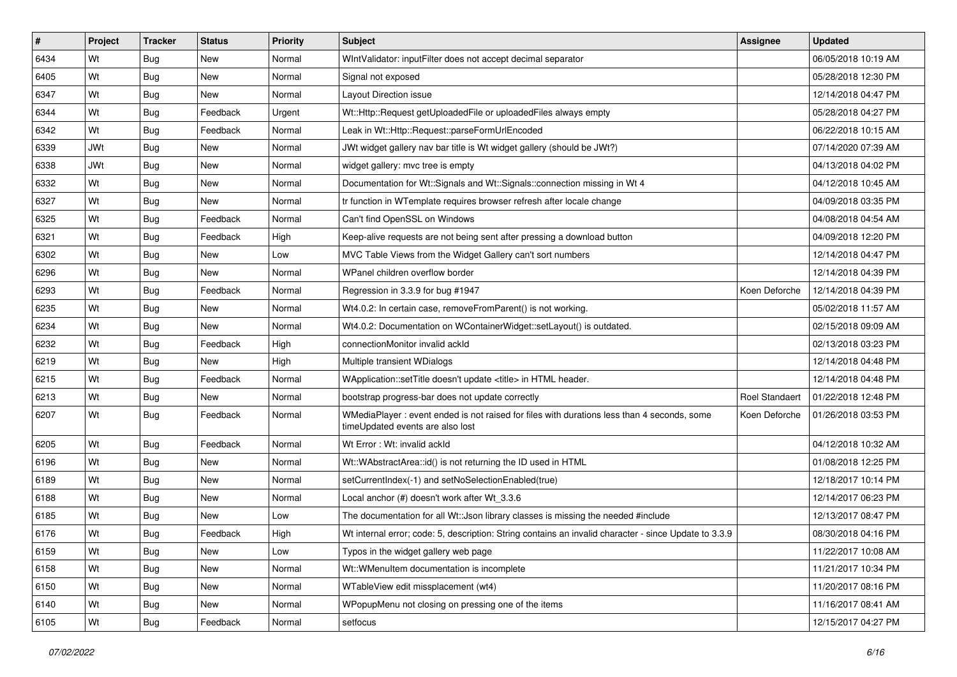| $\vert$ # | Project    | <b>Tracker</b> | <b>Status</b> | <b>Priority</b> | Subject                                                                                                                         | <b>Assignee</b> | <b>Updated</b>      |
|-----------|------------|----------------|---------------|-----------------|---------------------------------------------------------------------------------------------------------------------------------|-----------------|---------------------|
| 6434      | Wt         | Bug            | New           | Normal          | WintValidator: inputFilter does not accept decimal separator                                                                    |                 | 06/05/2018 10:19 AM |
| 6405      | Wt         | <b>Bug</b>     | <b>New</b>    | Normal          | Signal not exposed                                                                                                              |                 | 05/28/2018 12:30 PM |
| 6347      | Wt         | <b>Bug</b>     | New           | Normal          | Layout Direction issue                                                                                                          |                 | 12/14/2018 04:47 PM |
| 6344      | Wt         | <b>Bug</b>     | Feedback      | Urgent          | Wt::Http::Request getUploadedFile or uploadedFiles always empty                                                                 |                 | 05/28/2018 04:27 PM |
| 6342      | Wt         | Bug            | Feedback      | Normal          | Leak in Wt::Http::Request::parseFormUrlEncoded                                                                                  |                 | 06/22/2018 10:15 AM |
| 6339      | <b>JWt</b> | <b>Bug</b>     | <b>New</b>    | Normal          | JWt widget gallery nav bar title is Wt widget gallery (should be JWt?)                                                          |                 | 07/14/2020 07:39 AM |
| 6338      | <b>JWt</b> | Bug            | <b>New</b>    | Normal          | widget gallery: mvc tree is empty                                                                                               |                 | 04/13/2018 04:02 PM |
| 6332      | Wt         | <b>Bug</b>     | <b>New</b>    | Normal          | Documentation for Wt::Signals and Wt::Signals::connection missing in Wt 4                                                       |                 | 04/12/2018 10:45 AM |
| 6327      | Wt         | <b>Bug</b>     | <b>New</b>    | Normal          | tr function in WTemplate requires browser refresh after locale change                                                           |                 | 04/09/2018 03:35 PM |
| 6325      | Wt         | Bug            | Feedback      | Normal          | Can't find OpenSSL on Windows                                                                                                   |                 | 04/08/2018 04:54 AM |
| 6321      | Wt         | <b>Bug</b>     | Feedback      | High            | Keep-alive requests are not being sent after pressing a download button                                                         |                 | 04/09/2018 12:20 PM |
| 6302      | Wt         | <b>Bug</b>     | <b>New</b>    | Low             | MVC Table Views from the Widget Gallery can't sort numbers                                                                      |                 | 12/14/2018 04:47 PM |
| 6296      | Wt         | Bug            | <b>New</b>    | Normal          | WPanel children overflow border                                                                                                 |                 | 12/14/2018 04:39 PM |
| 6293      | Wt         | Bug            | Feedback      | Normal          | Regression in 3.3.9 for bug #1947                                                                                               | Koen Deforche   | 12/14/2018 04:39 PM |
| 6235      | Wt         | <b>Bug</b>     | <b>New</b>    | Normal          | Wt4.0.2: In certain case, removeFromParent() is not working.                                                                    |                 | 05/02/2018 11:57 AM |
| 6234      | Wt         | Bug            | New           | Normal          | Wt4.0.2: Documentation on WContainerWidget::setLayout() is outdated.                                                            |                 | 02/15/2018 09:09 AM |
| 6232      | Wt         | <b>Bug</b>     | Feedback      | High            | connectionMonitor invalid ackId                                                                                                 |                 | 02/13/2018 03:23 PM |
| 6219      | Wt         | Bug            | <b>New</b>    | High            | Multiple transient WDialogs                                                                                                     |                 | 12/14/2018 04:48 PM |
| 6215      | Wt         | <b>Bug</b>     | Feedback      | Normal          | WApplication::setTitle doesn't update <title> in HTML header.</title>                                                           |                 | 12/14/2018 04:48 PM |
| 6213      | Wt         | <b>Bug</b>     | New           | Normal          | bootstrap progress-bar does not update correctly                                                                                | Roel Standaert  | 01/22/2018 12:48 PM |
| 6207      | Wt         | <b>Bug</b>     | Feedback      | Normal          | WMediaPlayer : event ended is not raised for files with durations less than 4 seconds, some<br>timeUpdated events are also lost | Koen Deforche   | 01/26/2018 03:53 PM |
| 6205      | Wt         | Bug            | Feedback      | Normal          | Wt Error: Wt: invalid ackId                                                                                                     |                 | 04/12/2018 10:32 AM |
| 6196      | Wt         | <b>Bug</b>     | New           | Normal          | Wt::WAbstractArea::id() is not returning the ID used in HTML                                                                    |                 | 01/08/2018 12:25 PM |
| 6189      | Wt         | <b>Bug</b>     | New           | Normal          | setCurrentIndex(-1) and setNoSelectionEnabled(true)                                                                             |                 | 12/18/2017 10:14 PM |
| 6188      | Wt         | Bug            | <b>New</b>    | Normal          | Local anchor (#) doesn't work after Wt_3.3.6                                                                                    |                 | 12/14/2017 06:23 PM |
| 6185      | Wt         | <b>Bug</b>     | New           | Low             | The documentation for all Wt:: Json library classes is missing the needed #include                                              |                 | 12/13/2017 08:47 PM |
| 6176      | Wt         | Bug            | Feedback      | High            | Wt internal error; code: 5, description: String contains an invalid character - since Update to 3.3.9                           |                 | 08/30/2018 04:16 PM |
| 6159      | Wt         | Bug            | New           | Low             | Typos in the widget gallery web page                                                                                            |                 | 11/22/2017 10:08 AM |
| 6158      | Wt         | Bug            | New           | Normal          | Wt::WMenuItem documentation is incomplete                                                                                       |                 | 11/21/2017 10:34 PM |
| 6150      | Wt         | <b>Bug</b>     | New           | Normal          | WTableView edit missplacement (wt4)                                                                                             |                 | 11/20/2017 08:16 PM |
| 6140      | Wt         | <b>Bug</b>     | New           | Normal          | WPopupMenu not closing on pressing one of the items                                                                             |                 | 11/16/2017 08:41 AM |
| 6105      | Wt         | <b>Bug</b>     | Feedback      | Normal          | setfocus                                                                                                                        |                 | 12/15/2017 04:27 PM |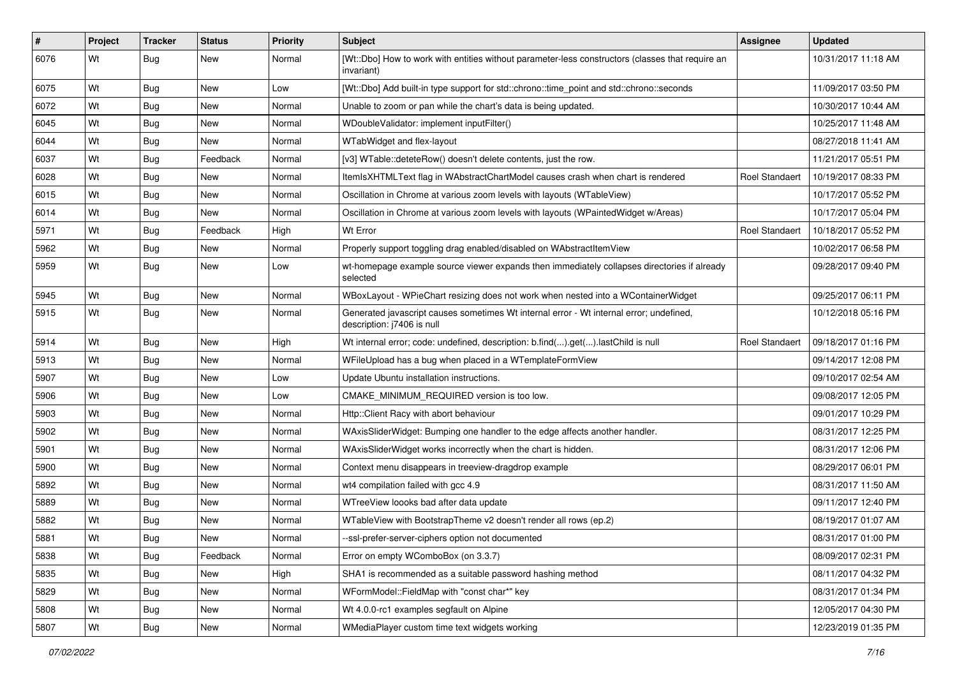| #    | Project | <b>Tracker</b> | <b>Status</b> | <b>Priority</b> | <b>Subject</b>                                                                                                        | <b>Assignee</b>       | <b>Updated</b>      |
|------|---------|----------------|---------------|-----------------|-----------------------------------------------------------------------------------------------------------------------|-----------------------|---------------------|
| 6076 | Wt      | Bug            | New           | Normal          | [Wt::Dbo] How to work with entities without parameter-less constructors (classes that require an<br>invariant)        |                       | 10/31/2017 11:18 AM |
| 6075 | Wt      | Bug            | <b>New</b>    | Low             | [Wt::Dbo] Add built-in type support for std::chrono::time_point and std::chrono::seconds                              |                       | 11/09/2017 03:50 PM |
| 6072 | Wt      | Bug            | New           | Normal          | Unable to zoom or pan while the chart's data is being updated.                                                        |                       | 10/30/2017 10:44 AM |
| 6045 | Wt      | Bug            | <b>New</b>    | Normal          | WDoubleValidator: implement inputFilter()                                                                             |                       | 10/25/2017 11:48 AM |
| 6044 | Wt      | Bug            | New           | Normal          | WTabWidget and flex-layout                                                                                            |                       | 08/27/2018 11:41 AM |
| 6037 | Wt      | Bug            | Feedback      | Normal          | [v3] WTable::deteteRow() doesn't delete contents, just the row.                                                       |                       | 11/21/2017 05:51 PM |
| 6028 | Wt      | Bug            | New           | Normal          | ItemIsXHTMLText flag in WAbstractChartModel causes crash when chart is rendered                                       | <b>Roel Standaert</b> | 10/19/2017 08:33 PM |
| 6015 | Wt      | <b>Bug</b>     | New           | Normal          | Oscillation in Chrome at various zoom levels with layouts (WTableView)                                                |                       | 10/17/2017 05:52 PM |
| 6014 | Wt      | Bug            | New           | Normal          | Oscillation in Chrome at various zoom levels with layouts (WPaintedWidget w/Areas)                                    |                       | 10/17/2017 05:04 PM |
| 5971 | Wt      | Bug            | Feedback      | High            | Wt Error                                                                                                              | <b>Roel Standaert</b> | 10/18/2017 05:52 PM |
| 5962 | Wt      | Bug            | New           | Normal          | Properly support toggling drag enabled/disabled on WAbstractItemView                                                  |                       | 10/02/2017 06:58 PM |
| 5959 | Wt      | Bug            | New           | Low             | wt-homepage example source viewer expands then immediately collapses directories if already<br>selected               |                       | 09/28/2017 09:40 PM |
| 5945 | Wt      | Bug            | New           | Normal          | WBoxLayout - WPieChart resizing does not work when nested into a WContainerWidget                                     |                       | 09/25/2017 06:11 PM |
| 5915 | Wt      | Bug            | New           | Normal          | Generated javascript causes sometimes Wt internal error - Wt internal error; undefined,<br>description: j7406 is null |                       | 10/12/2018 05:16 PM |
| 5914 | Wt      | Bug            | <b>New</b>    | High            | Wt internal error; code: undefined, description: b.find().get().lastChild is null                                     | <b>Roel Standaert</b> | 09/18/2017 01:16 PM |
| 5913 | Wt      | <b>Bug</b>     | New           | Normal          | WFileUpload has a bug when placed in a WTemplateFormView                                                              |                       | 09/14/2017 12:08 PM |
| 5907 | Wt      | Bug            | <b>New</b>    | Low             | Update Ubuntu installation instructions.                                                                              |                       | 09/10/2017 02:54 AM |
| 5906 | Wt      | Bug            | <b>New</b>    | Low             | CMAKE MINIMUM REQUIRED version is too low.                                                                            |                       | 09/08/2017 12:05 PM |
| 5903 | Wt      | <b>Bug</b>     | New           | Normal          | Http::Client Racy with abort behaviour                                                                                |                       | 09/01/2017 10:29 PM |
| 5902 | Wt      | Bug            | New           | Normal          | WAxisSliderWidget: Bumping one handler to the edge affects another handler.                                           |                       | 08/31/2017 12:25 PM |
| 5901 | Wt      | Bug            | <b>New</b>    | Normal          | WAxisSliderWidget works incorrectly when the chart is hidden.                                                         |                       | 08/31/2017 12:06 PM |
| 5900 | Wt      | Bug            | New           | Normal          | Context menu disappears in treeview-dragdrop example                                                                  |                       | 08/29/2017 06:01 PM |
| 5892 | Wt      | Bug            | <b>New</b>    | Normal          | wt4 compilation failed with gcc 4.9                                                                                   |                       | 08/31/2017 11:50 AM |
| 5889 | Wt      | Bug            | New           | Normal          | WTreeView loooks bad after data update                                                                                |                       | 09/11/2017 12:40 PM |
| 5882 | Wt      | Bug            | New           | Normal          | WTableView with BootstrapTheme v2 doesn't render all rows (ep.2)                                                      |                       | 08/19/2017 01:07 AM |
| 5881 | Wt      | <b>Bug</b>     | New           | Normal          | --ssl-prefer-server-ciphers option not documented                                                                     |                       | 08/31/2017 01:00 PM |
| 5838 | Wt      | <b>Bug</b>     | Feedback      | Normal          | Error on empty WComboBox (on 3.3.7)                                                                                   |                       | 08/09/2017 02:31 PM |
| 5835 | Wt      | <b>Bug</b>     | New           | High            | SHA1 is recommended as a suitable password hashing method                                                             |                       | 08/11/2017 04:32 PM |
| 5829 | Wt      | <b>Bug</b>     | New           | Normal          | WFormModel::FieldMap with "const char*" key                                                                           |                       | 08/31/2017 01:34 PM |
| 5808 | Wt      | <b>Bug</b>     | New           | Normal          | Wt 4.0.0-rc1 examples segfault on Alpine                                                                              |                       | 12/05/2017 04:30 PM |
| 5807 | Wt      | <b>Bug</b>     | New           | Normal          | WMediaPlayer custom time text widgets working                                                                         |                       | 12/23/2019 01:35 PM |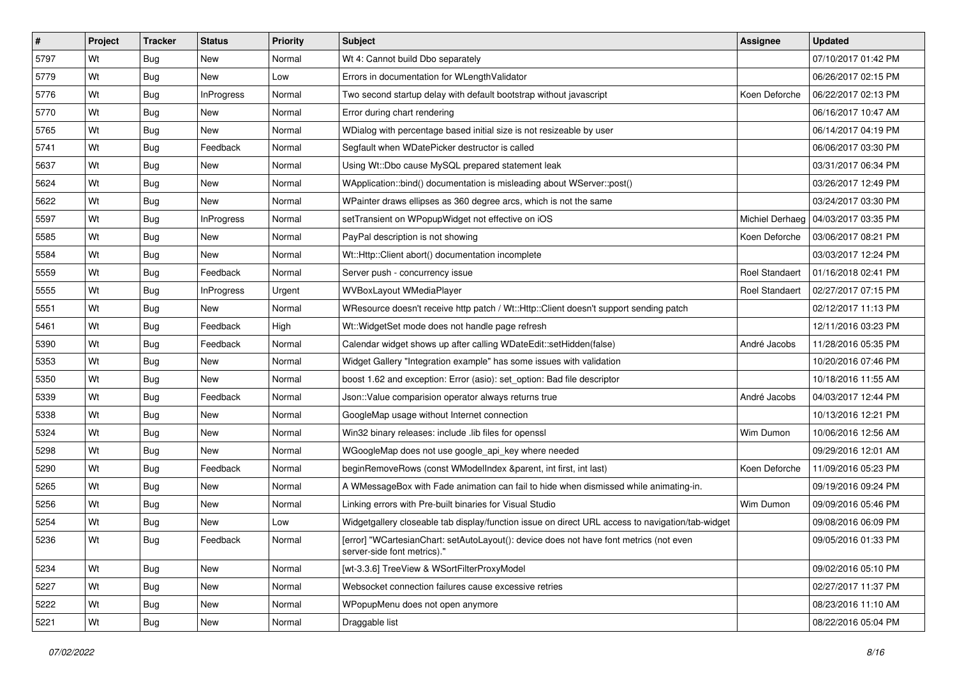| #    | <b>Project</b> | <b>Tracker</b> | <b>Status</b>     | <b>Priority</b> | Subject                                                                                                               | Assignee              | <b>Updated</b>                        |
|------|----------------|----------------|-------------------|-----------------|-----------------------------------------------------------------------------------------------------------------------|-----------------------|---------------------------------------|
| 5797 | Wt             | Bug            | New               | Normal          | Wt 4: Cannot build Dbo separately                                                                                     |                       | 07/10/2017 01:42 PM                   |
| 5779 | Wt             | <b>Bug</b>     | <b>New</b>        | Low             | Errors in documentation for WLengthValidator                                                                          |                       | 06/26/2017 02:15 PM                   |
| 5776 | Wt             | <b>Bug</b>     | <b>InProgress</b> | Normal          | Two second startup delay with default bootstrap without javascript                                                    | Koen Deforche         | 06/22/2017 02:13 PM                   |
| 5770 | Wt             | <b>Bug</b>     | New               | Normal          | Error during chart rendering                                                                                          |                       | 06/16/2017 10:47 AM                   |
| 5765 | Wt             | <b>Bug</b>     | <b>New</b>        | Normal          | WDialog with percentage based initial size is not resizeable by user                                                  |                       | 06/14/2017 04:19 PM                   |
| 5741 | Wt             | <b>Bug</b>     | Feedback          | Normal          | Segfault when WDatePicker destructor is called                                                                        |                       | 06/06/2017 03:30 PM                   |
| 5637 | Wt             | Bug            | New               | Normal          | Using Wt::Dbo cause MySQL prepared statement leak                                                                     |                       | 03/31/2017 06:34 PM                   |
| 5624 | Wt             | <b>Bug</b>     | New               | Normal          | WApplication::bind() documentation is misleading about WServer::post()                                                |                       | 03/26/2017 12:49 PM                   |
| 5622 | Wt             | <b>Bug</b>     | New               | Normal          | WPainter draws ellipses as 360 degree arcs, which is not the same                                                     |                       | 03/24/2017 03:30 PM                   |
| 5597 | Wt             | Bug            | <b>InProgress</b> | Normal          | setTransient on WPopupWidget not effective on iOS                                                                     |                       | Michiel Derhaeg   04/03/2017 03:35 PM |
| 5585 | Wt             | <b>Bug</b>     | New               | Normal          | PayPal description is not showing                                                                                     | Koen Deforche         | 03/06/2017 08:21 PM                   |
| 5584 | Wt             | <b>Bug</b>     | New               | Normal          | Wt::Http::Client abort() documentation incomplete                                                                     |                       | 03/03/2017 12:24 PM                   |
| 5559 | Wt             | <b>Bug</b>     | Feedback          | Normal          | Server push - concurrency issue                                                                                       | <b>Roel Standaert</b> | 01/16/2018 02:41 PM                   |
| 5555 | Wt             | Bug            | InProgress        | Urgent          | WVBoxLayout WMediaPlayer                                                                                              | <b>Roel Standaert</b> | 02/27/2017 07:15 PM                   |
| 5551 | Wt             | <b>Bug</b>     | New               | Normal          | WResource doesn't receive http patch / Wt::Http::Client doesn't support sending patch                                 |                       | 02/12/2017 11:13 PM                   |
| 5461 | Wt             | <b>Bug</b>     | Feedback          | High            | Wt:: WidgetSet mode does not handle page refresh                                                                      |                       | 12/11/2016 03:23 PM                   |
| 5390 | Wt             | <b>Bug</b>     | Feedback          | Normal          | Calendar widget shows up after calling WDateEdit::setHidden(false)                                                    | André Jacobs          | 11/28/2016 05:35 PM                   |
| 5353 | Wt             | <b>Bug</b>     | <b>New</b>        | Normal          | Widget Gallery "Integration example" has some issues with validation                                                  |                       | 10/20/2016 07:46 PM                   |
| 5350 | Wt             | Bug            | New               | Normal          | boost 1.62 and exception: Error (asio): set_option: Bad file descriptor                                               |                       | 10/18/2016 11:55 AM                   |
| 5339 | Wt             | Bug            | Feedback          | Normal          | Json:: Value comparision operator always returns true                                                                 | André Jacobs          | 04/03/2017 12:44 PM                   |
| 5338 | Wt             | <b>Bug</b>     | New               | Normal          | GoogleMap usage without Internet connection                                                                           |                       | 10/13/2016 12:21 PM                   |
| 5324 | Wt             | <b>Bug</b>     | New               | Normal          | Win32 binary releases: include .lib files for openssl                                                                 | Wim Dumon             | 10/06/2016 12:56 AM                   |
| 5298 | Wt             | Bug            | New               | Normal          | WGoogleMap does not use google_api_key where needed                                                                   |                       | 09/29/2016 12:01 AM                   |
| 5290 | Wt             | Bug            | Feedback          | Normal          | beginRemoveRows (const WModelIndex &parent, int first, int last)                                                      | Koen Deforche         | 11/09/2016 05:23 PM                   |
| 5265 | Wt             | <b>Bug</b>     | New               | Normal          | A WMessageBox with Fade animation can fail to hide when dismissed while animating-in.                                 |                       | 09/19/2016 09:24 PM                   |
| 5256 | Wt             | <b>Bug</b>     | <b>New</b>        | Normal          | Linking errors with Pre-built binaries for Visual Studio                                                              | Wim Dumon             | 09/09/2016 05:46 PM                   |
| 5254 | Wt             | Bug            | <b>New</b>        | Low             | Widgetgallery closeable tab display/function issue on direct URL access to navigation/tab-widget                      |                       | 09/08/2016 06:09 PM                   |
| 5236 | Wt             | <b>Bug</b>     | Feedback          | Normal          | [error] "WCartesianChart: setAutoLayout(): device does not have font metrics (not even<br>server-side font metrics)." |                       | 09/05/2016 01:33 PM                   |
| 5234 | Wt             | Bug            | New               | Normal          | [wt-3.3.6] TreeView & WSortFilterProxyModel                                                                           |                       | 09/02/2016 05:10 PM                   |
| 5227 | Wt             | <b>Bug</b>     | New               | Normal          | Websocket connection failures cause excessive retries                                                                 |                       | 02/27/2017 11:37 PM                   |
| 5222 | Wt             | <b>Bug</b>     | New               | Normal          | WPopupMenu does not open anymore                                                                                      |                       | 08/23/2016 11:10 AM                   |
| 5221 | Wt             | <b>Bug</b>     | New               | Normal          | Draggable list                                                                                                        |                       | 08/22/2016 05:04 PM                   |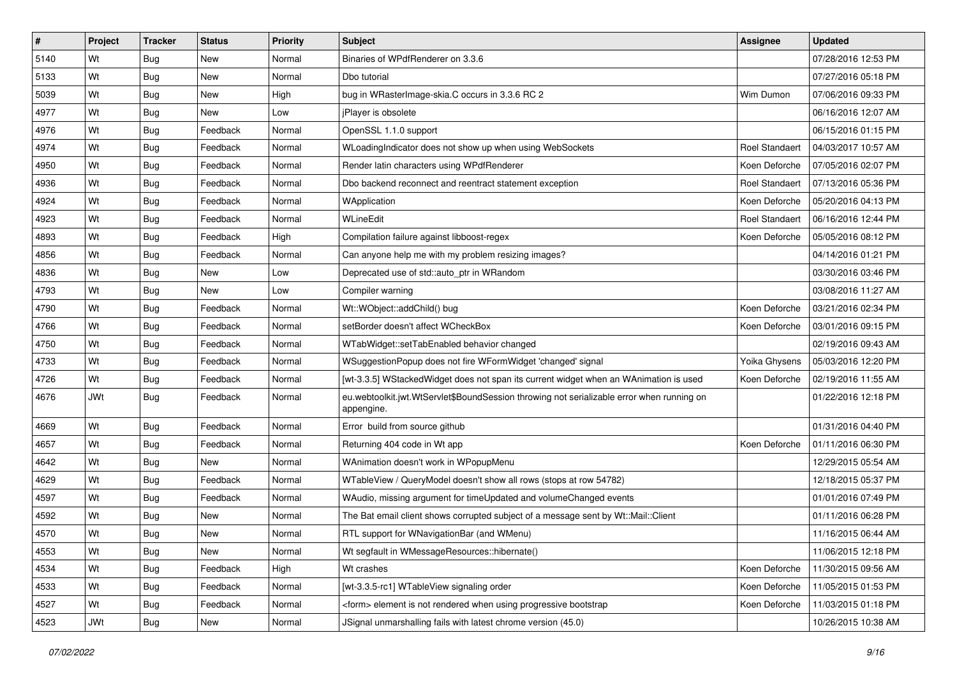| $\vert$ # | Project    | <b>Tracker</b> | <b>Status</b> | <b>Priority</b> | Subject                                                                                                 | Assignee              | <b>Updated</b>      |
|-----------|------------|----------------|---------------|-----------------|---------------------------------------------------------------------------------------------------------|-----------------------|---------------------|
| 5140      | Wt         | Bug            | <b>New</b>    | Normal          | Binaries of WPdfRenderer on 3.3.6                                                                       |                       | 07/28/2016 12:53 PM |
| 5133      | Wt         | Bug            | <b>New</b>    | Normal          | Dbo tutorial                                                                                            |                       | 07/27/2016 05:18 PM |
| 5039      | Wt         | Bug            | <b>New</b>    | High            | bug in WRasterImage-skia.C occurs in 3.3.6 RC 2                                                         | Wim Dumon             | 07/06/2016 09:33 PM |
| 4977      | Wt         | <b>Bug</b>     | <b>New</b>    | Low             | jPlayer is obsolete                                                                                     |                       | 06/16/2016 12:07 AM |
| 4976      | Wt         | Bug            | Feedback      | Normal          | OpenSSL 1.1.0 support                                                                                   |                       | 06/15/2016 01:15 PM |
| 4974      | Wt         | Bug            | Feedback      | Normal          | WLoadingIndicator does not show up when using WebSockets                                                | Roel Standaert        | 04/03/2017 10:57 AM |
| 4950      | Wt         | Bug            | Feedback      | Normal          | Render latin characters using WPdfRenderer                                                              | Koen Deforche         | 07/05/2016 02:07 PM |
| 4936      | Wt         | Bug            | Feedback      | Normal          | Dbo backend reconnect and reentract statement exception                                                 | <b>Roel Standaert</b> | 07/13/2016 05:36 PM |
| 4924      | Wt         | <b>Bug</b>     | Feedback      | Normal          | WApplication                                                                                            | Koen Deforche         | 05/20/2016 04:13 PM |
| 4923      | Wt         | Bug            | Feedback      | Normal          | WLineEdit                                                                                               | <b>Roel Standaert</b> | 06/16/2016 12:44 PM |
| 4893      | Wt         | <b>Bug</b>     | Feedback      | High            | Compilation failure against libboost-regex                                                              | Koen Deforche         | 05/05/2016 08:12 PM |
| 4856      | Wt         | <b>Bug</b>     | Feedback      | Normal          | Can anyone help me with my problem resizing images?                                                     |                       | 04/14/2016 01:21 PM |
| 4836      | Wt         | Bug            | <b>New</b>    | Low             | Deprecated use of std::auto_ptr in WRandom                                                              |                       | 03/30/2016 03:46 PM |
| 4793      | Wt         | Bug            | <b>New</b>    | Low             | Compiler warning                                                                                        |                       | 03/08/2016 11:27 AM |
| 4790      | Wt         | Bug            | Feedback      | Normal          | Wt::WObject::addChild() bug                                                                             | Koen Deforche         | 03/21/2016 02:34 PM |
| 4766      | Wt         | Bug            | Feedback      | Normal          | setBorder doesn't affect WCheckBox                                                                      | Koen Deforche         | 03/01/2016 09:15 PM |
| 4750      | Wt         | <b>Bug</b>     | Feedback      | Normal          | WTabWidget::setTabEnabled behavior changed                                                              |                       | 02/19/2016 09:43 AM |
| 4733      | Wt         | <b>Bug</b>     | Feedback      | Normal          | WSuggestionPopup does not fire WFormWidget 'changed' signal                                             | Yoika Ghysens         | 05/03/2016 12:20 PM |
| 4726      | Wt         | Bug            | Feedback      | Normal          | [wt-3.3.5] WStackedWidget does not span its current widget when an WAnimation is used                   | Koen Deforche         | 02/19/2016 11:55 AM |
| 4676      | <b>JWt</b> | Bug            | Feedback      | Normal          | eu.webtoolkit.jwt.WtServlet\$BoundSession throwing not serializable error when running on<br>appengine. |                       | 01/22/2016 12:18 PM |
| 4669      | Wt         | Bug            | Feedback      | Normal          | Error build from source github                                                                          |                       | 01/31/2016 04:40 PM |
| 4657      | Wt         | Bug            | Feedback      | Normal          | Returning 404 code in Wt app                                                                            | Koen Deforche         | 01/11/2016 06:30 PM |
| 4642      | Wt         | <b>Bug</b>     | <b>New</b>    | Normal          | WAnimation doesn't work in WPopupMenu                                                                   |                       | 12/29/2015 05:54 AM |
| 4629      | Wt         | <b>Bug</b>     | Feedback      | Normal          | WTableView / QueryModel doesn't show all rows (stops at row 54782)                                      |                       | 12/18/2015 05:37 PM |
| 4597      | Wt         | <b>Bug</b>     | Feedback      | Normal          | WAudio, missing argument for timeUpdated and volumeChanged events                                       |                       | 01/01/2016 07:49 PM |
| 4592      | Wt         | <b>Bug</b>     | New           | Normal          | The Bat email client shows corrupted subject of a message sent by Wt::Mail::Client                      |                       | 01/11/2016 06:28 PM |
| 4570      | Wt         | Bug            | <b>New</b>    | Normal          | RTL support for WNavigationBar (and WMenu)                                                              |                       | 11/16/2015 06:44 AM |
| 4553      | Wt         | <b>Bug</b>     | New           | Normal          | Wt segfault in WMessageResources::hibernate()                                                           |                       | 11/06/2015 12:18 PM |
| 4534      | Wt         | Bug            | Feedback      | High            | Wt crashes                                                                                              | Koen Deforche         | 11/30/2015 09:56 AM |
| 4533      | Wt         | Bug            | Feedback      | Normal          | [wt-3.3.5-rc1] WTableView signaling order                                                               | Koen Deforche         | 11/05/2015 01:53 PM |
| 4527      | Wt         | <b>Bug</b>     | Feedback      | Normal          | <form> element is not rendered when using progressive bootstrap</form>                                  | Koen Deforche         | 11/03/2015 01:18 PM |
| 4523      | <b>JWt</b> | <b>Bug</b>     | New           | Normal          | JSignal unmarshalling fails with latest chrome version (45.0)                                           |                       | 10/26/2015 10:38 AM |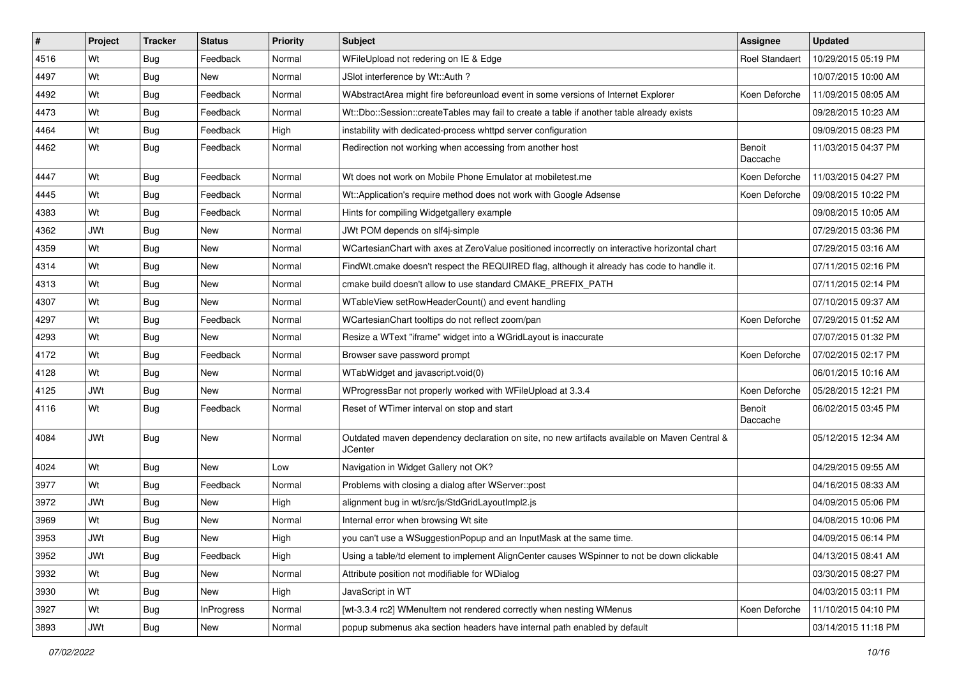| #    | Project    | <b>Tracker</b> | <b>Status</b>     | <b>Priority</b> | Subject                                                                                                        | Assignee              | <b>Updated</b>      |
|------|------------|----------------|-------------------|-----------------|----------------------------------------------------------------------------------------------------------------|-----------------------|---------------------|
| 4516 | Wt         | Bug            | Feedback          | Normal          | WFileUpload not redering on IE & Edge                                                                          | <b>Roel Standaert</b> | 10/29/2015 05:19 PM |
| 4497 | Wt         | Bug            | <b>New</b>        | Normal          | JSlot interference by Wt::Auth ?                                                                               |                       | 10/07/2015 10:00 AM |
| 4492 | Wt         | <b>Bug</b>     | Feedback          | Normal          | WAbstractArea might fire beforeunload event in some versions of Internet Explorer                              | Koen Deforche         | 11/09/2015 08:05 AM |
| 4473 | Wt         | Bug            | Feedback          | Normal          | Wt::Dbo::Session::createTables may fail to create a table if another table already exists                      |                       | 09/28/2015 10:23 AM |
| 4464 | Wt         | Bug            | Feedback          | High            | instability with dedicated-process whttpd server configuration                                                 |                       | 09/09/2015 08:23 PM |
| 4462 | Wt         | Bug            | Feedback          | Normal          | Redirection not working when accessing from another host                                                       | Benoit<br>Daccache    | 11/03/2015 04:37 PM |
| 4447 | Wt         | Bug            | Feedback          | Normal          | Wt does not work on Mobile Phone Emulator at mobiletest.me                                                     | Koen Deforche         | 11/03/2015 04:27 PM |
| 4445 | Wt         | Bug            | Feedback          | Normal          | Wt::Application's require method does not work with Google Adsense                                             | Koen Deforche         | 09/08/2015 10:22 PM |
| 4383 | Wt         | Bug            | Feedback          | Normal          | Hints for compiling Widgetgallery example                                                                      |                       | 09/08/2015 10:05 AM |
| 4362 | JWt        | <b>Bug</b>     | New               | Normal          | JWt POM depends on slf4j-simple                                                                                |                       | 07/29/2015 03:36 PM |
| 4359 | Wt         | Bug            | New               | Normal          | WCartesianChart with axes at ZeroValue positioned incorrectly on interactive horizontal chart                  |                       | 07/29/2015 03:16 AM |
| 4314 | Wt         | Bug            | New               | Normal          | FindWt.cmake doesn't respect the REQUIRED flag, although it already has code to handle it.                     |                       | 07/11/2015 02:16 PM |
| 4313 | Wt         | <b>Bug</b>     | New               | Normal          | cmake build doesn't allow to use standard CMAKE PREFIX PATH                                                    |                       | 07/11/2015 02:14 PM |
| 4307 | Wt         | Bug            | New               | Normal          | WTableView setRowHeaderCount() and event handling                                                              |                       | 07/10/2015 09:37 AM |
| 4297 | Wt         | <b>Bug</b>     | Feedback          | Normal          | WCartesianChart tooltips do not reflect zoom/pan                                                               | Koen Deforche         | 07/29/2015 01:52 AM |
| 4293 | Wt         | Bug            | New               | Normal          | Resize a WText "iframe" widget into a WGridLayout is inaccurate                                                |                       | 07/07/2015 01:32 PM |
| 4172 | Wt         | Bug            | Feedback          | Normal          | Browser save password prompt                                                                                   | Koen Deforche         | 07/02/2015 02:17 PM |
| 4128 | Wt         | Bug            | New               | Normal          | WTabWidget and javascript.void(0)                                                                              |                       | 06/01/2015 10:16 AM |
| 4125 | <b>JWt</b> | Bug            | New               | Normal          | WProgressBar not properly worked with WFileUpload at 3.3.4                                                     | Koen Deforche         | 05/28/2015 12:21 PM |
| 4116 | Wt         | Bug            | Feedback          | Normal          | Reset of WTimer interval on stop and start                                                                     | Benoit<br>Daccache    | 06/02/2015 03:45 PM |
| 4084 | <b>JWt</b> | Bug            | New               | Normal          | Outdated maven dependency declaration on site, no new artifacts available on Maven Central &<br><b>JCenter</b> |                       | 05/12/2015 12:34 AM |
| 4024 | Wt         | Bug            | <b>New</b>        | Low             | Navigation in Widget Gallery not OK?                                                                           |                       | 04/29/2015 09:55 AM |
| 3977 | Wt         | Bug            | Feedback          | Normal          | Problems with closing a dialog after WServer::post                                                             |                       | 04/16/2015 08:33 AM |
| 3972 | JWt        | <b>Bug</b>     | New               | High            | alignment bug in wt/src/js/StdGridLayoutImpl2.js                                                               |                       | 04/09/2015 05:06 PM |
| 3969 | Wt         | <b>Bug</b>     | New               | Normal          | Internal error when browsing Wt site                                                                           |                       | 04/08/2015 10:06 PM |
| 3953 | JWt        | Bug            | New               | High            | you can't use a WSuggestionPopup and an InputMask at the same time.                                            |                       | 04/09/2015 06:14 PM |
| 3952 | JWt        | Bug            | Feedback          | High            | Using a table/td element to implement AlignCenter causes WSpinner to not be down clickable                     |                       | 04/13/2015 08:41 AM |
| 3932 | Wt         | Bug            | New               | Normal          | Attribute position not modifiable for WDialog                                                                  |                       | 03/30/2015 08:27 PM |
| 3930 | Wt         | <b>Bug</b>     | New               | High            | JavaScript in WT                                                                                               |                       | 04/03/2015 03:11 PM |
| 3927 | Wt         | Bug            | <b>InProgress</b> | Normal          | [wt-3.3.4 rc2] WMenuItem not rendered correctly when nesting WMenus                                            | Koen Deforche         | 11/10/2015 04:10 PM |
| 3893 | <b>JWt</b> | Bug            | New               | Normal          | popup submenus aka section headers have internal path enabled by default                                       |                       | 03/14/2015 11:18 PM |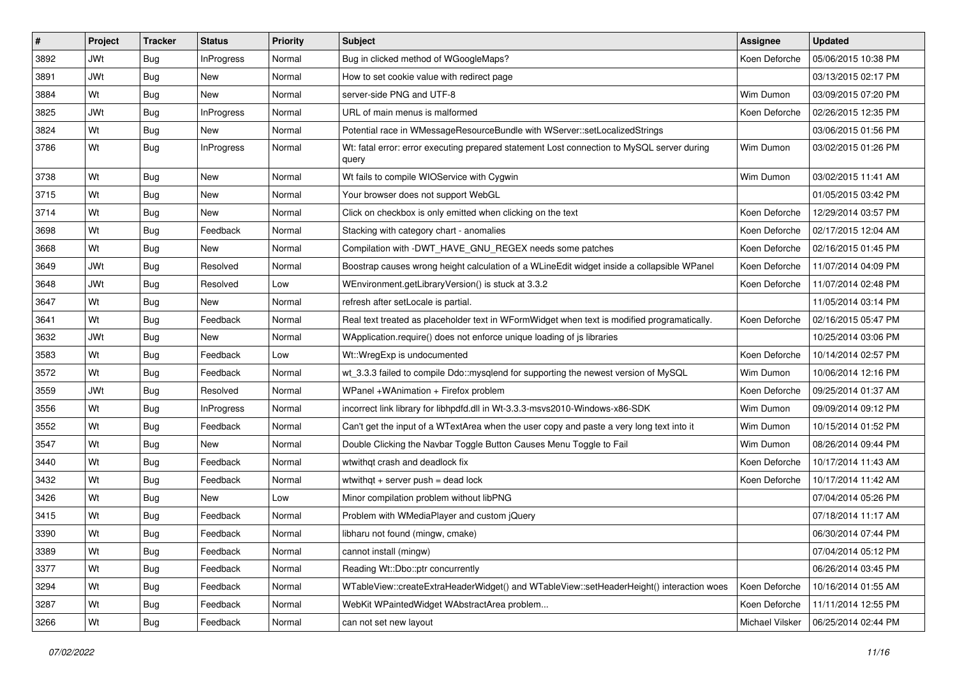| #    | Project    | <b>Tracker</b> | <b>Status</b>     | <b>Priority</b> | Subject                                                                                             | Assignee        | <b>Updated</b>      |
|------|------------|----------------|-------------------|-----------------|-----------------------------------------------------------------------------------------------------|-----------------|---------------------|
| 3892 | <b>JWt</b> | Bug            | <b>InProgress</b> | Normal          | Bug in clicked method of WGoogleMaps?                                                               | Koen Deforche   | 05/06/2015 10:38 PM |
| 3891 | <b>JWt</b> | Bug            | <b>New</b>        | Normal          | How to set cookie value with redirect page                                                          |                 | 03/13/2015 02:17 PM |
| 3884 | Wt         | Bug            | New               | Normal          | server-side PNG and UTF-8                                                                           | Wim Dumon       | 03/09/2015 07:20 PM |
| 3825 | <b>JWt</b> | Bug            | <b>InProgress</b> | Normal          | URL of main menus is malformed                                                                      | Koen Deforche   | 02/26/2015 12:35 PM |
| 3824 | Wt         | Bug            | New               | Normal          | Potential race in WMessageResourceBundle with WServer::setLocalizedStrings                          |                 | 03/06/2015 01:56 PM |
| 3786 | Wt         | Bug            | <b>InProgress</b> | Normal          | Wt: fatal error: error executing prepared statement Lost connection to MySQL server during<br>query | Wim Dumon       | 03/02/2015 01:26 PM |
| 3738 | Wt         | Bug            | New               | Normal          | Wt fails to compile WIOService with Cygwin                                                          | Wim Dumon       | 03/02/2015 11:41 AM |
| 3715 | Wt         | Bug            | New               | Normal          | Your browser does not support WebGL                                                                 |                 | 01/05/2015 03:42 PM |
| 3714 | Wt         | Bug            | New               | Normal          | Click on checkbox is only emitted when clicking on the text                                         | Koen Deforche   | 12/29/2014 03:57 PM |
| 3698 | Wt         | Bug            | Feedback          | Normal          | Stacking with category chart - anomalies                                                            | Koen Deforche   | 02/17/2015 12:04 AM |
| 3668 | Wt         | Bug            | New               | Normal          | Compilation with -DWT_HAVE_GNU_REGEX needs some patches                                             | Koen Deforche   | 02/16/2015 01:45 PM |
| 3649 | <b>JWt</b> | Bug            | Resolved          | Normal          | Boostrap causes wrong height calculation of a WLineEdit widget inside a collapsible WPanel          | Koen Deforche   | 11/07/2014 04:09 PM |
| 3648 | <b>JWt</b> | Bug            | Resolved          | Low             | WEnvironment.getLibraryVersion() is stuck at 3.3.2                                                  | Koen Deforche   | 11/07/2014 02:48 PM |
| 3647 | Wt         | Bug            | New               | Normal          | refresh after setLocale is partial.                                                                 |                 | 11/05/2014 03:14 PM |
| 3641 | Wt         | Bug            | Feedback          | Normal          | Real text treated as placeholder text in WFormWidget when text is modified programatically.         | Koen Deforche   | 02/16/2015 05:47 PM |
| 3632 | <b>JWt</b> | Bug            | New               | Normal          | WApplication.require() does not enforce unique loading of js libraries                              |                 | 10/25/2014 03:06 PM |
| 3583 | Wt         | Bug            | Feedback          | Low             | Wt::WregExp is undocumented                                                                         | Koen Deforche   | 10/14/2014 02:57 PM |
| 3572 | Wt         | Bug            | Feedback          | Normal          | wt_3.3.3 failed to compile Ddo::mysqlend for supporting the newest version of MySQL                 | Wim Dumon       | 10/06/2014 12:16 PM |
| 3559 | <b>JWt</b> | Bug            | Resolved          | Normal          | WPanel +WAnimation + Firefox problem                                                                | Koen Deforche   | 09/25/2014 01:37 AM |
| 3556 | Wt         | <b>Bug</b>     | InProgress        | Normal          | incorrect link library for libhpdfd.dll in Wt-3.3.3-msvs2010-Windows-x86-SDK                        | Wim Dumon       | 09/09/2014 09:12 PM |
| 3552 | Wt         | Bug            | Feedback          | Normal          | Can't get the input of a WTextArea when the user copy and paste a very long text into it            | Wim Dumon       | 10/15/2014 01:52 PM |
| 3547 | Wt         | Bug            | New               | Normal          | Double Clicking the Navbar Toggle Button Causes Menu Toggle to Fail                                 | Wim Dumon       | 08/26/2014 09:44 PM |
| 3440 | Wt         | <b>Bug</b>     | Feedback          | Normal          | wtwithgt crash and deadlock fix                                                                     | Koen Deforche   | 10/17/2014 11:43 AM |
| 3432 | Wt         | Bug            | Feedback          | Normal          | wtwithqt + server push = dead lock                                                                  | Koen Deforche   | 10/17/2014 11:42 AM |
| 3426 | Wt         | Bug            | New               | Low             | Minor compilation problem without libPNG                                                            |                 | 07/04/2014 05:26 PM |
| 3415 | Wt         | Bug            | Feedback          | Normal          | Problem with WMediaPlayer and custom jQuery                                                         |                 | 07/18/2014 11:17 AM |
| 3390 | Wt         | Bug            | Feedback          | Normal          | libharu not found (mingw, cmake)                                                                    |                 | 06/30/2014 07:44 PM |
| 3389 | Wt         | <b>Bug</b>     | Feedback          | Normal          | cannot install (mingw)                                                                              |                 | 07/04/2014 05:12 PM |
| 3377 | Wt         | <b>Bug</b>     | Feedback          | Normal          | Reading Wt::Dbo::ptr concurrently                                                                   |                 | 06/26/2014 03:45 PM |
| 3294 | Wt         | Bug            | Feedback          | Normal          | WTableView::createExtraHeaderWidget() and WTableView::setHeaderHeight() interaction woes            | Koen Deforche   | 10/16/2014 01:55 AM |
| 3287 | Wt         | <b>Bug</b>     | Feedback          | Normal          | WebKit WPaintedWidget WAbstractArea problem                                                         | Koen Deforche   | 11/11/2014 12:55 PM |
| 3266 | Wt         | <b>Bug</b>     | Feedback          | Normal          | can not set new layout                                                                              | Michael Vilsker | 06/25/2014 02:44 PM |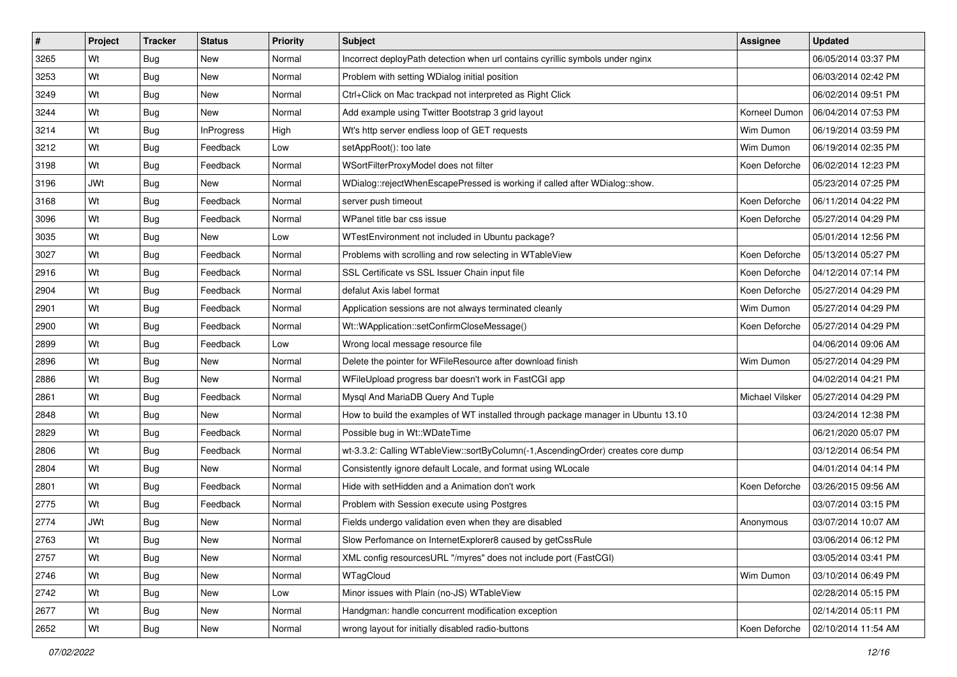| #    | Project    | <b>Tracker</b> | <b>Status</b>     | <b>Priority</b> | <b>Subject</b>                                                                    | <b>Assignee</b> | <b>Updated</b>      |
|------|------------|----------------|-------------------|-----------------|-----------------------------------------------------------------------------------|-----------------|---------------------|
| 3265 | Wt         | <b>Bug</b>     | New               | Normal          | Incorrect deployPath detection when url contains cyrillic symbols under nginx     |                 | 06/05/2014 03:37 PM |
| 3253 | Wt         | <b>Bug</b>     | <b>New</b>        | Normal          | Problem with setting WDialog initial position                                     |                 | 06/03/2014 02:42 PM |
| 3249 | Wt         | <b>Bug</b>     | New               | Normal          | Ctrl+Click on Mac trackpad not interpreted as Right Click                         |                 | 06/02/2014 09:51 PM |
| 3244 | Wt         | <b>Bug</b>     | New               | Normal          | Add example using Twitter Bootstrap 3 grid layout                                 | Korneel Dumon   | 06/04/2014 07:53 PM |
| 3214 | Wt         | <b>Bug</b>     | <b>InProgress</b> | High            | Wt's http server endless loop of GET requests                                     | Wim Dumon       | 06/19/2014 03:59 PM |
| 3212 | Wt         | <b>Bug</b>     | Feedback          | Low             | setAppRoot(): too late                                                            | Wim Dumon       | 06/19/2014 02:35 PM |
| 3198 | Wt         | Bug            | Feedback          | Normal          | WSortFilterProxyModel does not filter                                             | Koen Deforche   | 06/02/2014 12:23 PM |
| 3196 | <b>JWt</b> | <b>Bug</b>     | New               | Normal          | WDialog::rejectWhenEscapePressed is working if called after WDialog::show.        |                 | 05/23/2014 07:25 PM |
| 3168 | Wt         | <b>Bug</b>     | Feedback          | Normal          | server push timeout                                                               | Koen Deforche   | 06/11/2014 04:22 PM |
| 3096 | Wt         | Bug            | Feedback          | Normal          | WPanel title bar css issue                                                        | Koen Deforche   | 05/27/2014 04:29 PM |
| 3035 | Wt         | <b>Bug</b>     | New               | Low             | WTestEnvironment not included in Ubuntu package?                                  |                 | 05/01/2014 12:56 PM |
| 3027 | Wt         | <b>Bug</b>     | Feedback          | Normal          | Problems with scrolling and row selecting in WTableView                           | Koen Deforche   | 05/13/2014 05:27 PM |
| 2916 | Wt         | Bug            | Feedback          | Normal          | SSL Certificate vs SSL Issuer Chain input file                                    | Koen Deforche   | 04/12/2014 07:14 PM |
| 2904 | Wt         | Bug            | Feedback          | Normal          | defalut Axis label format                                                         | Koen Deforche   | 05/27/2014 04:29 PM |
| 2901 | Wt         | <b>Bug</b>     | Feedback          | Normal          | Application sessions are not always terminated cleanly                            | Wim Dumon       | 05/27/2014 04:29 PM |
| 2900 | Wt         | Bug            | Feedback          | Normal          | Wt::WApplication::setConfirmCloseMessage()                                        | Koen Deforche   | 05/27/2014 04:29 PM |
| 2899 | Wt         | <b>Bug</b>     | Feedback          | Low             | Wrong local message resource file                                                 |                 | 04/06/2014 09:06 AM |
| 2896 | Wt         | <b>Bug</b>     | New               | Normal          | Delete the pointer for WFileResource after download finish                        | Wim Dumon       | 05/27/2014 04:29 PM |
| 2886 | Wt         | <b>Bug</b>     | New               | Normal          | WFileUpload progress bar doesn't work in FastCGI app                              |                 | 04/02/2014 04:21 PM |
| 2861 | Wt         | Bug            | Feedback          | Normal          | Mysql And MariaDB Query And Tuple                                                 | Michael Vilsker | 05/27/2014 04:29 PM |
| 2848 | Wt         | <b>Bug</b>     | New               | Normal          | How to build the examples of WT installed through package manager in Ubuntu 13.10 |                 | 03/24/2014 12:38 PM |
| 2829 | Wt         | <b>Bug</b>     | Feedback          | Normal          | Possible bug in Wt::WDateTime                                                     |                 | 06/21/2020 05:07 PM |
| 2806 | Wt         | Bug            | Feedback          | Normal          | wt-3.3.2: Calling WTableView::sortByColumn(-1,AscendingOrder) creates core dump   |                 | 03/12/2014 06:54 PM |
| 2804 | Wt         | <b>Bug</b>     | New               | Normal          | Consistently ignore default Locale, and format using WLocale                      |                 | 04/01/2014 04:14 PM |
| 2801 | Wt         | <b>Bug</b>     | Feedback          | Normal          | Hide with setHidden and a Animation don't work                                    | Koen Deforche   | 03/26/2015 09:56 AM |
| 2775 | Wt         | Bug            | Feedback          | Normal          | Problem with Session execute using Postgres                                       |                 | 03/07/2014 03:15 PM |
| 2774 | <b>JWt</b> | Bug            | New               | Normal          | Fields undergo validation even when they are disabled                             | Anonymous       | 03/07/2014 10:07 AM |
| 2763 | Wt         | Bug            | New               | Normal          | Slow Perfomance on InternetExplorer8 caused by getCssRule                         |                 | 03/06/2014 06:12 PM |
| 2757 | Wt         | <b>Bug</b>     | New               | Normal          | XML config resourcesURL "/myres" does not include port (FastCGI)                  |                 | 03/05/2014 03:41 PM |
| 2746 | Wt         | <b>Bug</b>     | New               | Normal          | WTagCloud                                                                         | Wim Dumon       | 03/10/2014 06:49 PM |
| 2742 | Wt         | <b>Bug</b>     | New               | Low             | Minor issues with Plain (no-JS) WTableView                                        |                 | 02/28/2014 05:15 PM |
| 2677 | Wt         | <b>Bug</b>     | New               | Normal          | Handgman: handle concurrent modification exception                                |                 | 02/14/2014 05:11 PM |
| 2652 | Wt         | <b>Bug</b>     | New               | Normal          | wrong layout for initially disabled radio-buttons                                 | Koen Deforche   | 02/10/2014 11:54 AM |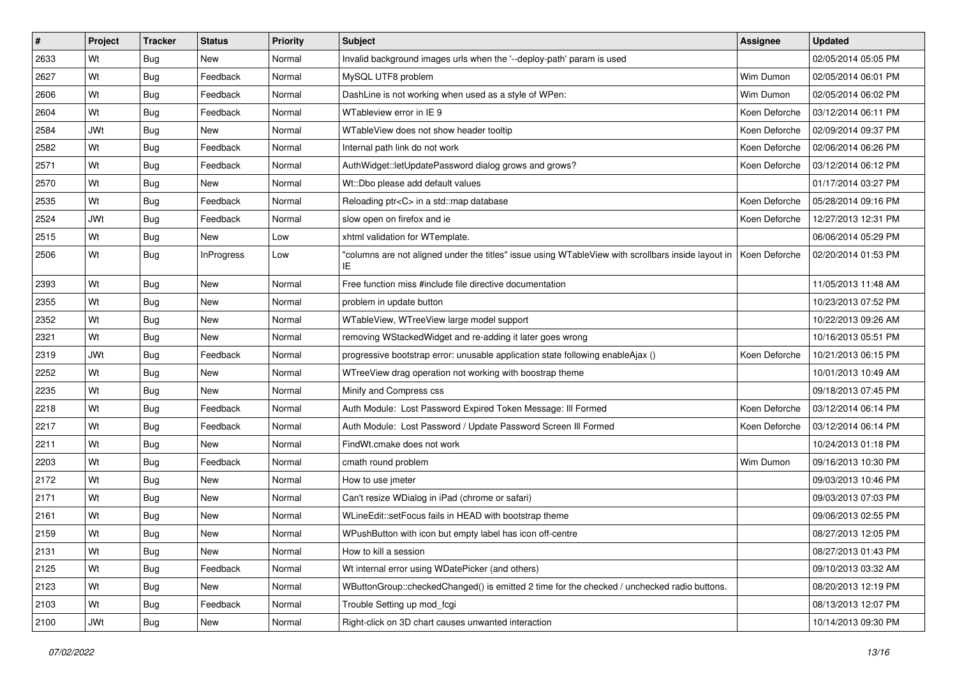| #    | Project    | <b>Tracker</b> | <b>Status</b>     | <b>Priority</b> | Subject                                                                                                                   | Assignee      | <b>Updated</b>      |
|------|------------|----------------|-------------------|-----------------|---------------------------------------------------------------------------------------------------------------------------|---------------|---------------------|
| 2633 | Wt         | <b>Bug</b>     | New               | Normal          | Invalid background images urls when the '--deploy-path' param is used                                                     |               | 02/05/2014 05:05 PM |
| 2627 | Wt         | Bug            | Feedback          | Normal          | MySQL UTF8 problem                                                                                                        | Wim Dumon     | 02/05/2014 06:01 PM |
| 2606 | Wt         | Bug            | Feedback          | Normal          | DashLine is not working when used as a style of WPen:                                                                     | Wim Dumon     | 02/05/2014 06:02 PM |
| 2604 | Wt         | Bug            | Feedback          | Normal          | WTableview error in IE 9                                                                                                  | Koen Deforche | 03/12/2014 06:11 PM |
| 2584 | <b>JWt</b> | Bug            | New               | Normal          | WTableView does not show header tooltip                                                                                   | Koen Deforche | 02/09/2014 09:37 PM |
| 2582 | Wt         | Bug            | Feedback          | Normal          | Internal path link do not work                                                                                            | Koen Deforche | 02/06/2014 06:26 PM |
| 2571 | Wt         | <b>Bug</b>     | Feedback          | Normal          | AuthWidget::letUpdatePassword dialog grows and grows?                                                                     | Koen Deforche | 03/12/2014 06:12 PM |
| 2570 | Wt         | Bug            | New               | Normal          | Wt::Dbo please add default values                                                                                         |               | 01/17/2014 03:27 PM |
| 2535 | Wt         | Bug            | Feedback          | Normal          | Reloading ptr <c> in a std::map database</c>                                                                              | Koen Deforche | 05/28/2014 09:16 PM |
| 2524 | <b>JWt</b> | Bug            | Feedback          | Normal          | slow open on firefox and ie                                                                                               | Koen Deforche | 12/27/2013 12:31 PM |
| 2515 | Wt         | <b>Bug</b>     | New               | Low             | xhtml validation for WTemplate.                                                                                           |               | 06/06/2014 05:29 PM |
| 2506 | Wt         | Bug            | <b>InProgress</b> | Low             | "columns are not aligned under the titles" issue using WTableView with scrollbars inside layout in   Koen Deforche<br>IE. |               | 02/20/2014 01:53 PM |
| 2393 | Wt         | Bug            | New               | Normal          | Free function miss #include file directive documentation                                                                  |               | 11/05/2013 11:48 AM |
| 2355 | Wt         | Bug            | <b>New</b>        | Normal          | problem in update button                                                                                                  |               | 10/23/2013 07:52 PM |
| 2352 | Wt         | <b>Bug</b>     | <b>New</b>        | Normal          | WTableView, WTreeView large model support                                                                                 |               | 10/22/2013 09:26 AM |
| 2321 | Wt         | Bug            | <b>New</b>        | Normal          | removing WStackedWidget and re-adding it later goes wrong                                                                 |               | 10/16/2013 05:51 PM |
| 2319 | <b>JWt</b> | Bug            | Feedback          | Normal          | progressive bootstrap error: unusable application state following enableAjax ()                                           | Koen Deforche | 10/21/2013 06:15 PM |
| 2252 | Wt         | <b>Bug</b>     | <b>New</b>        | Normal          | WTreeView drag operation not working with boostrap theme                                                                  |               | 10/01/2013 10:49 AM |
| 2235 | Wt         | <b>Bug</b>     | <b>New</b>        | Normal          | Minify and Compress css                                                                                                   |               | 09/18/2013 07:45 PM |
| 2218 | Wt         | Bug            | Feedback          | Normal          | Auth Module: Lost Password Expired Token Message: III Formed                                                              | Koen Deforche | 03/12/2014 06:14 PM |
| 2217 | Wt         | <b>Bug</b>     | Feedback          | Normal          | Auth Module: Lost Password / Update Password Screen III Formed                                                            | Koen Deforche | 03/12/2014 06:14 PM |
| 2211 | Wt         | <b>Bug</b>     | <b>New</b>        | Normal          | FindWt.cmake does not work                                                                                                |               | 10/24/2013 01:18 PM |
| 2203 | Wt         | <b>Bug</b>     | Feedback          | Normal          | cmath round problem                                                                                                       | Wim Dumon     | 09/16/2013 10:30 PM |
| 2172 | Wt         | <b>Bug</b>     | <b>New</b>        | Normal          | How to use imeter                                                                                                         |               | 09/03/2013 10:46 PM |
| 2171 | Wt         | Bug            | <b>New</b>        | Normal          | Can't resize WDialog in iPad (chrome or safari)                                                                           |               | 09/03/2013 07:03 PM |
| 2161 | Wt         | <b>Bug</b>     | New               | Normal          | WLineEdit::setFocus fails in HEAD with bootstrap theme                                                                    |               | 09/06/2013 02:55 PM |
| 2159 | Wt         | Bug            | New               | Normal          | WPushButton with icon but empty label has icon off-centre                                                                 |               | 08/27/2013 12:05 PM |
| 2131 | Wt         | Bug            | New               | Normal          | How to kill a session                                                                                                     |               | 08/27/2013 01:43 PM |
| 2125 | Wt         | Bug            | Feedback          | Normal          | Wt internal error using WDatePicker (and others)                                                                          |               | 09/10/2013 03:32 AM |
| 2123 | Wt         | <b>Bug</b>     | New               | Normal          | WButtonGroup::checkedChanged() is emitted 2 time for the checked / unchecked radio buttons.                               |               | 08/20/2013 12:19 PM |
| 2103 | Wt         | <b>Bug</b>     | Feedback          | Normal          | Trouble Setting up mod_fcgi                                                                                               |               | 08/13/2013 12:07 PM |
| 2100 | <b>JWt</b> | <b>Bug</b>     | New               | Normal          | Right-click on 3D chart causes unwanted interaction                                                                       |               | 10/14/2013 09:30 PM |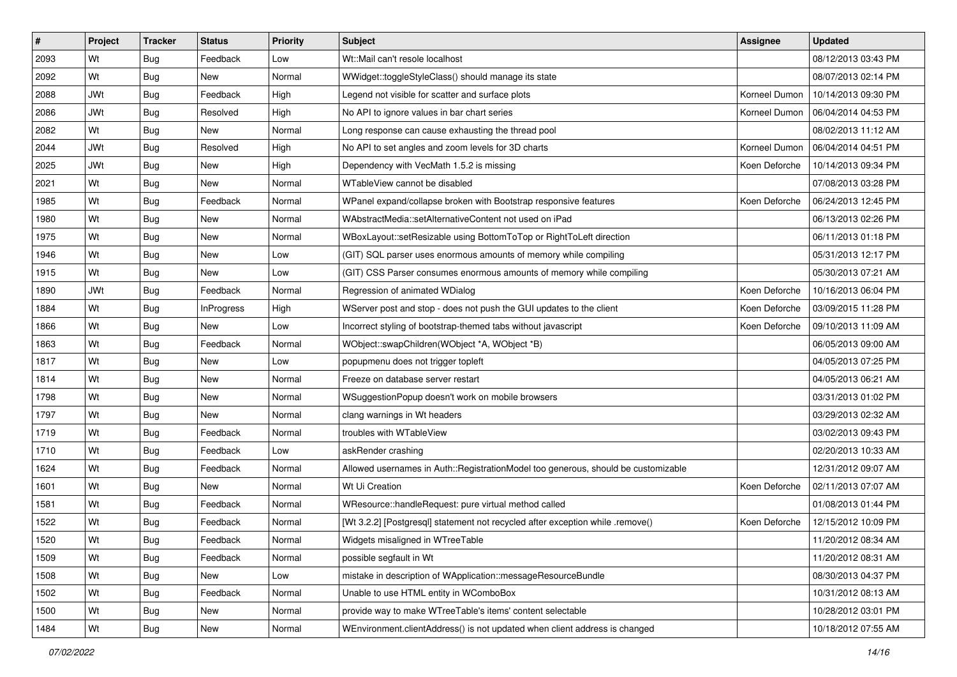| #    | Project    | <b>Tracker</b> | <b>Status</b> | <b>Priority</b> | Subject                                                                           | <b>Assignee</b> | <b>Updated</b>      |
|------|------------|----------------|---------------|-----------------|-----------------------------------------------------------------------------------|-----------------|---------------------|
| 2093 | Wt         | <b>Bug</b>     | Feedback      | Low             | Wt::Mail can't resole localhost                                                   |                 | 08/12/2013 03:43 PM |
| 2092 | Wt         | Bug            | New           | Normal          | WWidget::toggleStyleClass() should manage its state                               |                 | 08/07/2013 02:14 PM |
| 2088 | <b>JWt</b> | Bug            | Feedback      | High            | Legend not visible for scatter and surface plots                                  | Korneel Dumon   | 10/14/2013 09:30 PM |
| 2086 | <b>JWt</b> | Bug            | Resolved      | High            | No API to ignore values in bar chart series                                       | Korneel Dumon   | 06/04/2014 04:53 PM |
| 2082 | Wt         | Bug            | New           | Normal          | Long response can cause exhausting the thread pool                                |                 | 08/02/2013 11:12 AM |
| 2044 | <b>JWt</b> | Bug            | Resolved      | High            | No API to set angles and zoom levels for 3D charts                                | Korneel Dumon   | 06/04/2014 04:51 PM |
| 2025 | <b>JWt</b> | Bug            | New           | High            | Dependency with VecMath 1.5.2 is missing                                          | Koen Deforche   | 10/14/2013 09:34 PM |
| 2021 | Wt         | Bug            | New           | Normal          | WTableView cannot be disabled                                                     |                 | 07/08/2013 03:28 PM |
| 1985 | Wt         | Bug            | Feedback      | Normal          | WPanel expand/collapse broken with Bootstrap responsive features                  | Koen Deforche   | 06/24/2013 12:45 PM |
| 1980 | Wt         | Bug            | New           | Normal          | WAbstractMedia::setAlternativeContent not used on iPad                            |                 | 06/13/2013 02:26 PM |
| 1975 | Wt         | Bug            | New           | Normal          | WBoxLayout::setResizable using BottomToTop or RightToLeft direction               |                 | 06/11/2013 01:18 PM |
| 1946 | Wt         | Bug            | New           | Low             | (GIT) SQL parser uses enormous amounts of memory while compiling                  |                 | 05/31/2013 12:17 PM |
| 1915 | Wt         | Bug            | New           | Low             | (GIT) CSS Parser consumes enormous amounts of memory while compiling              |                 | 05/30/2013 07:21 AM |
| 1890 | <b>JWt</b> | Bug            | Feedback      | Normal          | Regression of animated WDialog                                                    | Koen Deforche   | 10/16/2013 06:04 PM |
| 1884 | Wt         | Bug            | InProgress    | High            | WServer post and stop - does not push the GUI updates to the client               | Koen Deforche   | 03/09/2015 11:28 PM |
| 1866 | Wt         | Bug            | New           | Low             | Incorrect styling of bootstrap-themed tabs without javascript                     | Koen Deforche   | 09/10/2013 11:09 AM |
| 1863 | Wt         | <b>Bug</b>     | Feedback      | Normal          | WObject::swapChildren(WObject *A, WObject *B)                                     |                 | 06/05/2013 09:00 AM |
| 1817 | Wt         | Bug            | New           | Low             | popupmenu does not trigger topleft                                                |                 | 04/05/2013 07:25 PM |
| 1814 | Wt         | <b>Bug</b>     | New           | Normal          | Freeze on database server restart                                                 |                 | 04/05/2013 06:21 AM |
| 1798 | Wt         | Bug            | New           | Normal          | WSuggestionPopup doesn't work on mobile browsers                                  |                 | 03/31/2013 01:02 PM |
| 1797 | Wt         | Bug            | New           | Normal          | clang warnings in Wt headers                                                      |                 | 03/29/2013 02:32 AM |
| 1719 | Wt         | Bug            | Feedback      | Normal          | troubles with WTableView                                                          |                 | 03/02/2013 09:43 PM |
| 1710 | Wt         | Bug            | Feedback      | Low             | askRender crashing                                                                |                 | 02/20/2013 10:33 AM |
| 1624 | Wt         | <b>Bug</b>     | Feedback      | Normal          | Allowed usernames in Auth::RegistrationModel too generous, should be customizable |                 | 12/31/2012 09:07 AM |
| 1601 | Wt         | Bug            | New           | Normal          | Wt Ui Creation                                                                    | Koen Deforche   | 02/11/2013 07:07 AM |
| 1581 | Wt         | Bug            | Feedback      | Normal          | WResource::handleRequest: pure virtual method called                              |                 | 01/08/2013 01:44 PM |
| 1522 | Wt         | Bug            | Feedback      | Normal          | (Wt 3.2.2] [Postgresgl] statement not recycled after exception while .remove()    | Koen Deforche   | 12/15/2012 10:09 PM |
| 1520 | Wt         | Bug            | Feedback      | Normal          | Widgets misaligned in WTreeTable                                                  |                 | 11/20/2012 08:34 AM |
| 1509 | Wt         | Bug            | Feedback      | Normal          | possible segfault in Wt                                                           |                 | 11/20/2012 08:31 AM |
| 1508 | Wt         | <b>Bug</b>     | New           | Low             | mistake in description of WApplication::messageResourceBundle                     |                 | 08/30/2013 04:37 PM |
| 1502 | Wt         | Bug            | Feedback      | Normal          | Unable to use HTML entity in WComboBox                                            |                 | 10/31/2012 08:13 AM |
| 1500 | Wt         | <b>Bug</b>     | New           | Normal          | provide way to make WTreeTable's items' content selectable                        |                 | 10/28/2012 03:01 PM |
| 1484 | Wt         | <b>Bug</b>     | New           | Normal          | WEnvironment.clientAddress() is not updated when client address is changed        |                 | 10/18/2012 07:55 AM |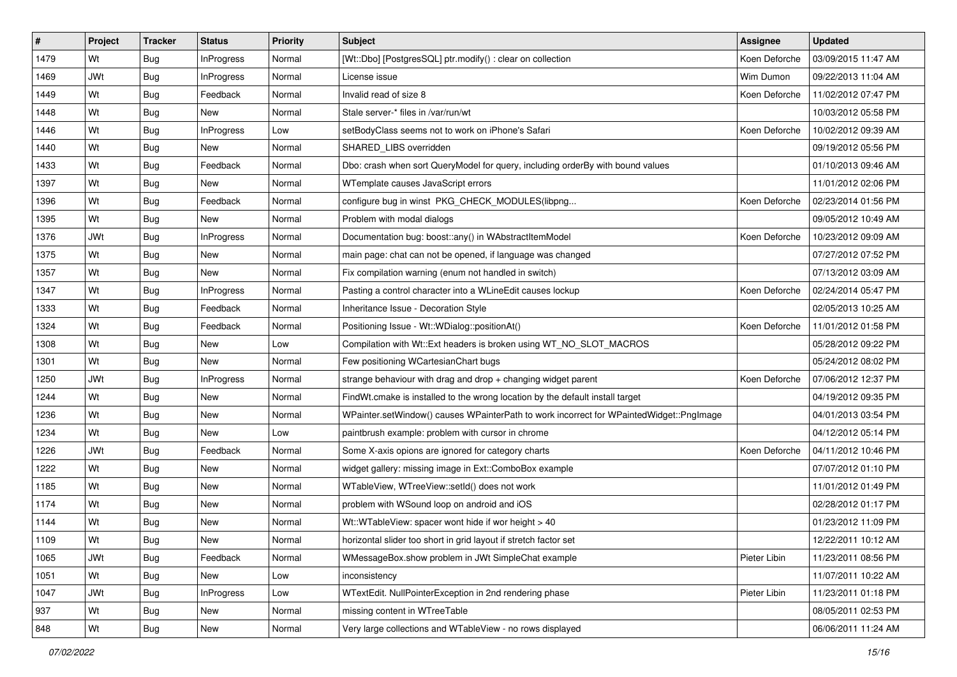| #    | Project    | <b>Tracker</b> | <b>Status</b>     | <b>Priority</b> | Subject                                                                                 | Assignee      | <b>Updated</b>      |
|------|------------|----------------|-------------------|-----------------|-----------------------------------------------------------------------------------------|---------------|---------------------|
| 1479 | Wt         | Bug            | InProgress        | Normal          | [Wt::Dbo] [PostgresSQL] ptr.modify() : clear on collection                              | Koen Deforche | 03/09/2015 11:47 AM |
| 1469 | JWt        | Bug            | <b>InProgress</b> | Normal          | License issue                                                                           | Wim Dumon     | 09/22/2013 11:04 AM |
| 1449 | Wt         | Bug            | Feedback          | Normal          | Invalid read of size 8                                                                  | Koen Deforche | 11/02/2012 07:47 PM |
| 1448 | Wt         | <b>Bug</b>     | New               | Normal          | Stale server-* files in /var/run/wt                                                     |               | 10/03/2012 05:58 PM |
| 1446 | Wt         | Bug            | <b>InProgress</b> | Low             | setBodyClass seems not to work on iPhone's Safari                                       | Koen Deforche | 10/02/2012 09:39 AM |
| 1440 | Wt         | <b>Bug</b>     | New               | Normal          | SHARED LIBS overridden                                                                  |               | 09/19/2012 05:56 PM |
| 1433 | Wt         | Bug            | Feedback          | Normal          | Dbo: crash when sort QueryModel for query, including orderBy with bound values          |               | 01/10/2013 09:46 AM |
| 1397 | Wt         | Bug            | New               | Normal          | WTemplate causes JavaScript errors                                                      |               | 11/01/2012 02:06 PM |
| 1396 | Wt         | Bug            | Feedback          | Normal          | configure bug in winst PKG_CHECK_MODULES(libpng                                         | Koen Deforche | 02/23/2014 01:56 PM |
| 1395 | Wt         | Bug            | New               | Normal          | Problem with modal dialogs                                                              |               | 09/05/2012 10:49 AM |
| 1376 | <b>JWt</b> | Bug            | InProgress        | Normal          | Documentation bug: boost::any() in WAbstractItemModel                                   | Koen Deforche | 10/23/2012 09:09 AM |
| 1375 | Wt         | Bug            | New               | Normal          | main page: chat can not be opened, if language was changed                              |               | 07/27/2012 07:52 PM |
| 1357 | Wt         | Bug            | New               | Normal          | Fix compilation warning (enum not handled in switch)                                    |               | 07/13/2012 03:09 AM |
| 1347 | Wt         | Bug            | InProgress        | Normal          | Pasting a control character into a WLineEdit causes lockup                              | Koen Deforche | 02/24/2014 05:47 PM |
| 1333 | Wt         | Bug            | Feedback          | Normal          | Inheritance Issue - Decoration Style                                                    |               | 02/05/2013 10:25 AM |
| 1324 | Wt         | Bug            | Feedback          | Normal          | Positioning Issue - Wt::WDialog::positionAt()                                           | Koen Deforche | 11/01/2012 01:58 PM |
| 1308 | Wt         | Bug            | New               | Low             | Compilation with Wt::Ext headers is broken using WT_NO_SLOT_MACROS                      |               | 05/28/2012 09:22 PM |
| 1301 | Wt         | Bug            | New               | Normal          | Few positioning WCartesianChart bugs                                                    |               | 05/24/2012 08:02 PM |
| 1250 | <b>JWt</b> | <b>Bug</b>     | <b>InProgress</b> | Normal          | strange behaviour with drag and drop + changing widget parent                           | Koen Deforche | 07/06/2012 12:37 PM |
| 1244 | Wt         | Bug            | New               | Normal          | FindWt.cmake is installed to the wrong location by the default install target           |               | 04/19/2012 09:35 PM |
| 1236 | Wt         | Bug            | New               | Normal          | WPainter.setWindow() causes WPainterPath to work incorrect for WPaintedWidget::PngImage |               | 04/01/2013 03:54 PM |
| 1234 | Wt         | Bug            | New               | Low             | paintbrush example: problem with cursor in chrome                                       |               | 04/12/2012 05:14 PM |
| 1226 | <b>JWt</b> | Bug            | Feedback          | Normal          | Some X-axis opions are ignored for category charts                                      | Koen Deforche | 04/11/2012 10:46 PM |
| 1222 | Wt         | <b>Bug</b>     | New               | Normal          | widget gallery: missing image in Ext::ComboBox example                                  |               | 07/07/2012 01:10 PM |
| 1185 | Wt         | Bug            | New               | Normal          | WTableView, WTreeView::setId() does not work                                            |               | 11/01/2012 01:49 PM |
| 1174 | Wt         | <b>Bug</b>     | New               | Normal          | problem with WSound loop on android and iOS                                             |               | 02/28/2012 01:17 PM |
| 1144 | Wt         | Bug            | New               | Normal          | Wt::WTableView: spacer wont hide if wor height > 40                                     |               | 01/23/2012 11:09 PM |
| 1109 | Wt         | Bug            | New               | Normal          | horizontal slider too short in grid layout if stretch factor set                        |               | 12/22/2011 10:12 AM |
| 1065 | JWt        | Bug            | Feedback          | Normal          | WMessageBox.show problem in JWt SimpleChat example                                      | Pieter Libin  | 11/23/2011 08:56 PM |
| 1051 | Wt         | <b>Bug</b>     | New               | Low             | inconsistency                                                                           |               | 11/07/2011 10:22 AM |
| 1047 | JWt        | <b>Bug</b>     | InProgress        | Low             | WTextEdit. NullPointerException in 2nd rendering phase                                  | Pieter Libin  | 11/23/2011 01:18 PM |
| 937  | Wt         | <b>Bug</b>     | New               | Normal          | missing content in WTreeTable                                                           |               | 08/05/2011 02:53 PM |
| 848  | Wt         | <b>Bug</b>     | New               | Normal          | Very large collections and WTableView - no rows displayed                               |               | 06/06/2011 11:24 AM |